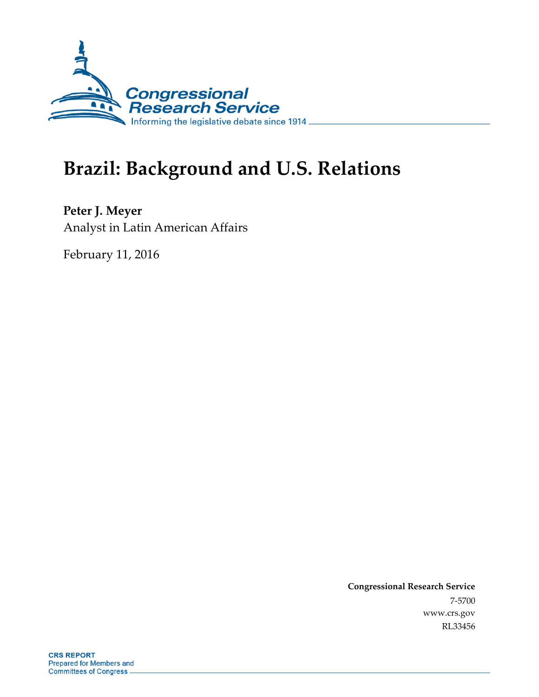

# **Brazil: Background and U.S. Relations**

**Peter J. Meyer** Analyst in Latin American Affairs

February 11, 2016

**Congressional Research Service** 7-5700 www.crs.gov RL33456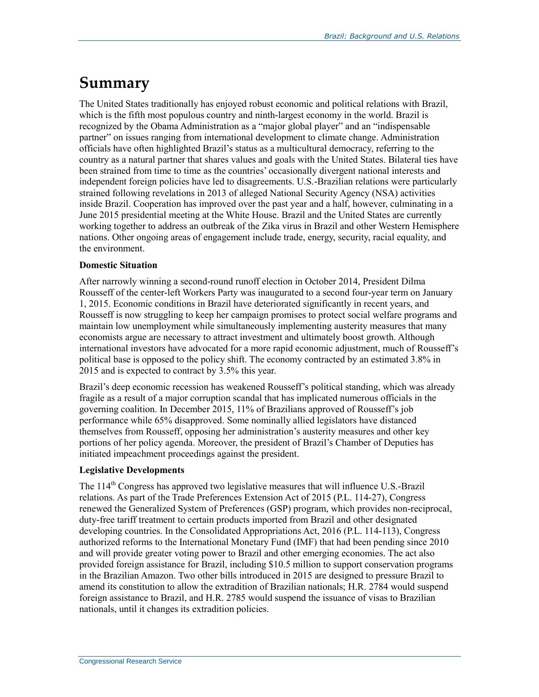## **Summary**

The United States traditionally has enjoyed robust economic and political relations with Brazil, which is the fifth most populous country and ninth-largest economy in the world. Brazil is recognized by the Obama Administration as a "major global player" and an "indispensable partner" on issues ranging from international development to climate change. Administration officials have often highlighted Brazil's status as a multicultural democracy, referring to the country as a natural partner that shares values and goals with the United States. Bilateral ties have been strained from time to time as the countries' occasionally divergent national interests and independent foreign policies have led to disagreements. U.S.-Brazilian relations were particularly strained following revelations in 2013 of alleged National Security Agency (NSA) activities inside Brazil. Cooperation has improved over the past year and a half, however, culminating in a June 2015 presidential meeting at the White House. Brazil and the United States are currently working together to address an outbreak of the Zika virus in Brazil and other Western Hemisphere nations. Other ongoing areas of engagement include trade, energy, security, racial equality, and the environment.

#### **Domestic Situation**

After narrowly winning a second-round runoff election in October 2014, President Dilma Rousseff of the center-left Workers Party was inaugurated to a second four-year term on January 1, 2015. Economic conditions in Brazil have deteriorated significantly in recent years, and Rousseff is now struggling to keep her campaign promises to protect social welfare programs and maintain low unemployment while simultaneously implementing austerity measures that many economists argue are necessary to attract investment and ultimately boost growth. Although international investors have advocated for a more rapid economic adjustment, much of Rousseff's political base is opposed to the policy shift. The economy contracted by an estimated 3.8% in 2015 and is expected to contract by 3.5% this year.

Brazil's deep economic recession has weakened Rousseff's political standing, which was already fragile as a result of a major corruption scandal that has implicated numerous officials in the governing coalition. In December 2015, 11% of Brazilians approved of Rousseff's job performance while 65% disapproved. Some nominally allied legislators have distanced themselves from Rousseff, opposing her administration's austerity measures and other key portions of her policy agenda. Moreover, the president of Brazil's Chamber of Deputies has initiated impeachment proceedings against the president.

#### **Legislative Developments**

The  $114<sup>th</sup>$  Congress has approved two legislative measures that will influence U.S.-Brazil relations. As part of the Trade Preferences Extension Act of 2015 (P.L. 114-27), Congress renewed the Generalized System of Preferences (GSP) program, which provides non-reciprocal, duty-free tariff treatment to certain products imported from Brazil and other designated developing countries. In the Consolidated Appropriations Act, 2016 (P.L. 114-113), Congress authorized reforms to the International Monetary Fund (IMF) that had been pending since 2010 and will provide greater voting power to Brazil and other emerging economies. The act also provided foreign assistance for Brazil, including \$10.5 million to support conservation programs in the Brazilian Amazon. Two other bills introduced in 2015 are designed to pressure Brazil to amend its constitution to allow the extradition of Brazilian nationals; H.R. 2784 would suspend foreign assistance to Brazil, and H.R. 2785 would suspend the issuance of visas to Brazilian nationals, until it changes its extradition policies.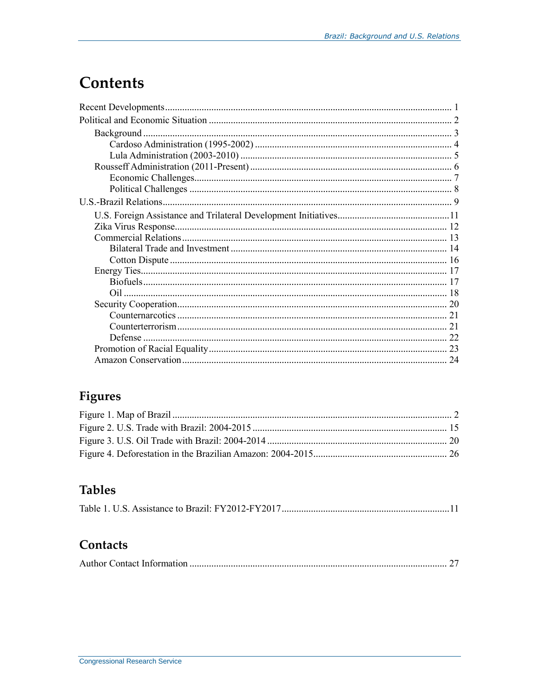## **Contents**

## Figures

## **Tables**

|--|--|

## Contacts

|--|--|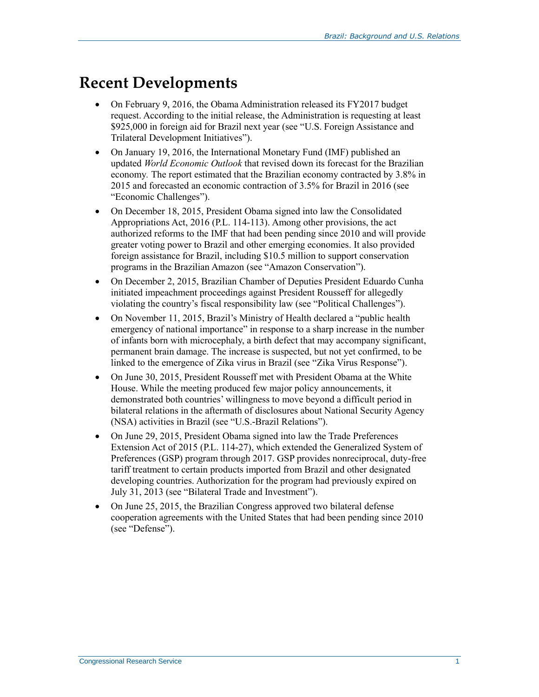## **Recent Developments**

- On February 9, 2016, the Obama Administration released its FY2017 budget request. According to the initial release, the Administration is requesting at least \$925,000 in foreign aid for Brazil next year (see ["U.S. Foreign Assistance](#page-13-0) and [Trilateral Development Initiatives"](#page-13-0)).
- On January 19, 2016, the International Monetary Fund (IMF) published an updated *World Economic Outlook* that revised down its forecast for the Brazilian economy*.* The report estimated that the Brazilian economy contracted by 3.8% in 2015 and forecasted an economic contraction of 3.5% for Brazil in 2016 (see ["Economic Challenges"](#page-9-0)).
- On December 18, 2015, President Obama signed into law the Consolidated Appropriations Act, 2016 (P.L. 114-113). Among other provisions, the act authorized reforms to the IMF that had been pending since 2010 and will provide greater voting power to Brazil and other emerging economies. It also provided foreign assistance for Brazil, including \$10.5 million to support conservation programs in the Brazilian Amazon (see ["Amazon Conservation"](#page-26-0)).
- On December 2, 2015, Brazilian Chamber of Deputies President Eduardo Cunha initiated impeachment proceedings against President Rousseff for allegedly violating the country's fiscal responsibility law (see ["Political Challenges"](#page-10-0)).
- On November 11, 2015, Brazil's Ministry of Health declared a "public health" emergency of national importance" in response to a sharp increase in the number of infants born with microcephaly, a birth defect that may accompany significant, permanent brain damage. The increase is suspected, but not yet confirmed, to be linked to the emergence of Zika virus in Brazil (see "Zika [Virus Response"](#page-14-0)).
- On June 30, 2015, President Rousseff met with President Obama at the White House. While the meeting produced few major policy announcements, it demonstrated both countries' willingness to move beyond a difficult period in bilateral relations in the aftermath of disclosures about National Security Agency (NSA) activities in Brazil (see ["U.S.-Brazil Relations"](#page-11-0)).
- On June 29, 2015, President Obama signed into law the Trade Preferences Extension Act of 2015 (P.L. 114-27), which extended the Generalized System of Preferences (GSP) program through 2017. GSP provides nonreciprocal, duty-free tariff treatment to certain products imported from Brazil and other designated developing countries. Authorization for the program had previously expired on July 31, 2013 (see ["Bilateral Trade and Investment"](#page-16-0)).
- On June 25, 2015, the Brazilian Congress approved two bilateral defense cooperation agreements with the United States that had been pending since 2010 (see ["Defense"](#page-24-0)).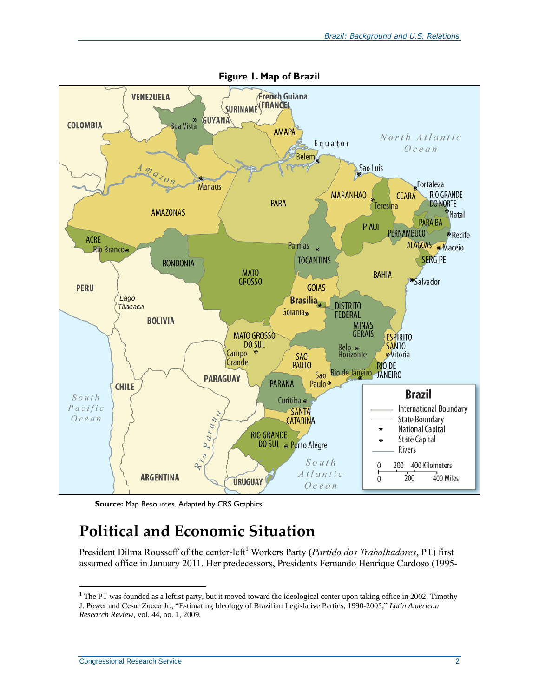

**Source:** Map Resources. Adapted by CRS Graphics.

## **Political and Economic Situation**

President Dilma Rousseff of the center-left<sup>1</sup> Workers Party (*Partido dos Trabalhadores*, PT) first assumed office in January 2011. Her predecessors, Presidents Fernando Henrique Cardoso (1995-

 $1$  The PT was founded as a leftist party, but it moved toward the ideological center upon taking office in 2002. Timothy J. Power and Cesar Zucco Jr., "Estimating Ideology of Brazilian Legislative Parties, 1990-2005," *Latin American Research Review*, vol. 44, no. 1, 2009.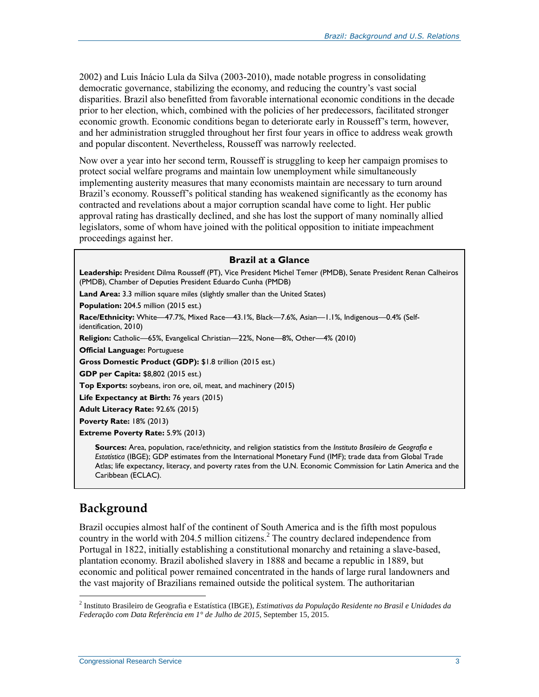2002) and Luis Inácio Lula da Silva (2003-2010), made notable progress in consolidating democratic governance, stabilizing the economy, and reducing the country's vast social disparities. Brazil also benefitted from favorable international economic conditions in the decade prior to her election, which, combined with the policies of her predecessors, facilitated stronger economic growth. Economic conditions began to deteriorate early in Rousseff's term, however, and her administration struggled throughout her first four years in office to address weak growth and popular discontent. Nevertheless, Rousseff was narrowly reelected.

Now over a year into her second term, Rousseff is struggling to keep her campaign promises to protect social welfare programs and maintain low unemployment while simultaneously implementing austerity measures that many economists maintain are necessary to turn around Brazil's economy. Rousseff's political standing has weakened significantly as the economy has contracted and revelations about a major corruption scandal have come to light. Her public approval rating has drastically declined, and she has lost the support of many nominally allied legislators, some of whom have joined with the political opposition to initiate impeachment proceedings against her.

#### **Brazil at a Glance**

**Leadership:** President Dilma Rousseff (PT), Vice President Michel Temer (PMDB), Senate President Renan Calheiros (PMDB), Chamber of Deputies President Eduardo Cunha (PMDB)

Land Area: 3.3 million square miles (slightly smaller than the United States)

**Population:** 204.5 million (2015 est.)

**Race/Ethnicity:** White—47.7%, Mixed Race—43.1%, Black—7.6%, Asian—1.1%, Indigenous—0.4% (Selfidentification, 2010)

**Religion:** Catholic—65%, Evangelical Christian—22%, None—8%, Other—4% (2010)

**Official Language:** Portuguese

**Gross Domestic Product (GDP):** \$1.8 trillion (2015 est.)

**GDP per Capita:** \$8,802 (2015 est.)

**Top Exports:** soybeans, iron ore, oil, meat, and machinery (2015)

Life Expectancy at Birth: 76 years (2015)

**Adult Literacy Rate:** 92.6% (2015)

**Poverty Rate:** 18% (2013)

**Extreme Poverty Rate:** 5.9% (2013)

**Sources:** Area, population, race/ethnicity, and religion statistics from the *Instituto Brasileiro de Geografia e Estatística* (IBGE); GDP estimates from the International Monetary Fund (IMF); trade data from Global Trade Atlas; life expectancy, literacy, and poverty rates from the U.N. Economic Commission for Latin America and the Caribbean (ECLAC).

## **Background**

 $\overline{a}$ 

Brazil occupies almost half of the continent of South America and is the fifth most populous country in the world with 204.5 million citizens.<sup>2</sup> The country declared independence from Portugal in 1822, initially establishing a constitutional monarchy and retaining a slave-based, plantation economy. Brazil abolished slavery in 1888 and became a republic in 1889, but economic and political power remained concentrated in the hands of large rural landowners and the vast majority of Brazilians remained outside the political system. The authoritarian

<sup>2</sup> Instituto Brasileiro de Geografia e Estatística (IBGE), *Estimativas da População Residente no Brasil e Unidades da Federação com Data Referëncia em 1° de Julho de 2015*, September 15, 2015.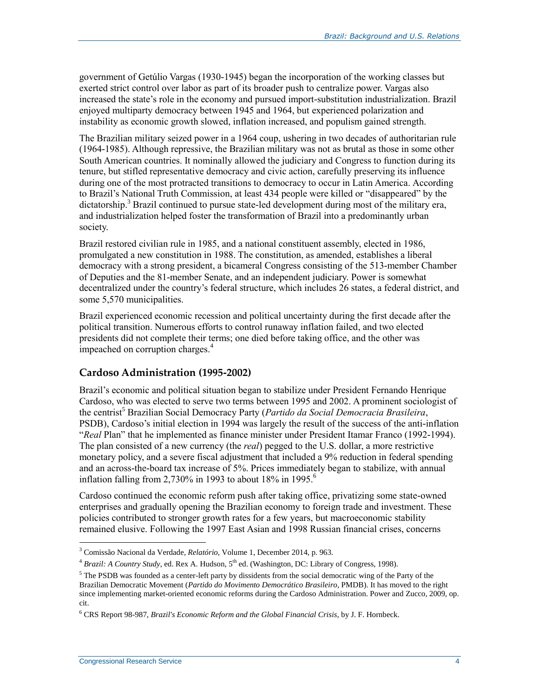government of Getúlio Vargas (1930-1945) began the incorporation of the working classes but exerted strict control over labor as part of its broader push to centralize power. Vargas also increased the state's role in the economy and pursued import-substitution industrialization. Brazil enjoyed multiparty democracy between 1945 and 1964, but experienced polarization and instability as economic growth slowed, inflation increased, and populism gained strength.

The Brazilian military seized power in a 1964 coup, ushering in two decades of authoritarian rule (1964-1985). Although repressive, the Brazilian military was not as brutal as those in some other South American countries. It nominally allowed the judiciary and Congress to function during its tenure, but stifled representative democracy and civic action, carefully preserving its influence during one of the most protracted transitions to democracy to occur in Latin America. According to Brazil's National Truth Commission, at least 434 people were killed or "disappeared" by the dictatorship.<sup>3</sup> Brazil continued to pursue state-led development during most of the military era, and industrialization helped foster the transformation of Brazil into a predominantly urban society.

Brazil restored civilian rule in 1985, and a national constituent assembly, elected in 1986, promulgated a new constitution in 1988. The constitution, as amended, establishes a liberal democracy with a strong president, a bicameral Congress consisting of the 513-member Chamber of Deputies and the 81-member Senate, and an independent judiciary. Power is somewhat decentralized under the country's federal structure, which includes 26 states, a federal district, and some 5,570 municipalities.

Brazil experienced economic recession and political uncertainty during the first decade after the political transition. Numerous efforts to control runaway inflation failed, and two elected presidents did not complete their terms; one died before taking office, and the other was impeached on corruption charges.<sup>4</sup>

#### **Cardoso Administration (1995-2002)**

Brazil's economic and political situation began to stabilize under President Fernando Henrique Cardoso, who was elected to serve two terms between 1995 and 2002. A prominent sociologist of the centrist<sup>5</sup> Brazilian Social Democracy Party (*Partido da Social Democracia Brasileira*, PSDB), Cardoso's initial election in 1994 was largely the result of the success of the anti-inflation "*Real* Plan" that he implemented as finance minister under President Itamar Franco (1992-1994). The plan consisted of a new currency (the *real*) pegged to the U.S. dollar, a more restrictive monetary policy, and a severe fiscal adjustment that included a 9% reduction in federal spending and an across-the-board tax increase of 5%. Prices immediately began to stabilize, with annual inflation falling from 2,730% in 1993 to about 18% in 1995.<sup>6</sup>

Cardoso continued the economic reform push after taking office, privatizing some state-owned enterprises and gradually opening the Brazilian economy to foreign trade and investment. These policies contributed to stronger growth rates for a few years, but macroeconomic stability remained elusive. Following the 1997 East Asian and 1998 Russian financial crises, concerns

<sup>3</sup> Comissão Nacional da Verdade, *Relatório*, Volume 1, December 2014, p. 963.

<sup>&</sup>lt;sup>4</sup> *Brazil: A Country Study*, ed. Rex A. Hudson, 5<sup>th</sup> ed. (Washington, DC: Library of Congress, 1998).

 $<sup>5</sup>$  The PSDB was founded as a center-left party by dissidents from the social democratic wing of the Party of the</sup> Brazilian Democratic Movement (*Partido do Movimento Democrático Brasileiro*, PMDB). It has moved to the right since implementing market-oriented economic reforms during the Cardoso Administration. Power and Zucco, 2009, op. cit.

<sup>6</sup> CRS Report 98-987, *Brazil's Economic Reform and the Global Financial Crisis*, by J. F. Hornbeck.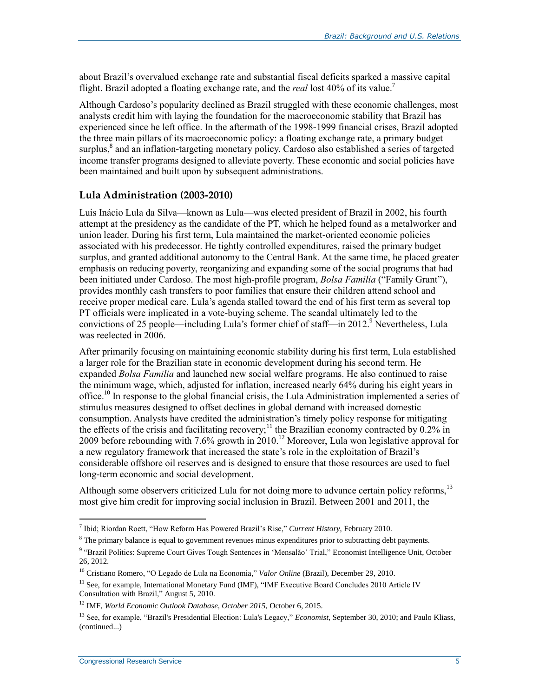about Brazil's overvalued exchange rate and substantial fiscal deficits sparked a massive capital flight. Brazil adopted a floating exchange rate, and the *real* lost 40% of its value.<sup>7</sup>

Although Cardoso's popularity declined as Brazil struggled with these economic challenges, most analysts credit him with laying the foundation for the macroeconomic stability that Brazil has experienced since he left office. In the aftermath of the 1998-1999 financial crises, Brazil adopted the three main pillars of its macroeconomic policy: a floating exchange rate, a primary budget surplus,<sup>8</sup> and an inflation-targeting monetary policy. Cardoso also established a series of targeted income transfer programs designed to alleviate poverty. These economic and social policies have been maintained and built upon by subsequent administrations.

#### **Lula Administration (2003-2010)**

Luis Inácio Lula da Silva—known as Lula—was elected president of Brazil in 2002, his fourth attempt at the presidency as the candidate of the PT, which he helped found as a metalworker and union leader. During his first term, Lula maintained the market-oriented economic policies associated with his predecessor. He tightly controlled expenditures, raised the primary budget surplus, and granted additional autonomy to the Central Bank. At the same time, he placed greater emphasis on reducing poverty, reorganizing and expanding some of the social programs that had been initiated under Cardoso. The most high-profile program, *Bolsa Familia* ("Family Grant"), provides monthly cash transfers to poor families that ensure their children attend school and receive proper medical care. Lula's agenda stalled toward the end of his first term as several top PT officials were implicated in a vote-buying scheme. The scandal ultimately led to the convictions of 25 people—including Lula's former chief of staff—in  $2012<sup>9</sup>$  Nevertheless, Lula was reelected in 2006.

After primarily focusing on maintaining economic stability during his first term, Lula established a larger role for the Brazilian state in economic development during his second term. He expanded *Bolsa Familia* and launched new social welfare programs. He also continued to raise the minimum wage, which, adjusted for inflation, increased nearly 64% during his eight years in office.<sup>10</sup> In response to the global financial crisis, the Lula Administration implemented a series of stimulus measures designed to offset declines in global demand with increased domestic consumption. Analysts have credited the administration's timely policy response for mitigating the effects of the crisis and facilitating recovery;<sup>11</sup> the Brazilian economy contracted by  $0.2\%$  in 2009 before rebounding with 7.6% growth in 2010.<sup>12</sup> Moreover, Lula won legislative approval for a new regulatory framework that increased the state's role in the exploitation of Brazil's considerable offshore oil reserves and is designed to ensure that those resources are used to fuel long-term economic and social development.

Although some observers criticized Lula for not doing more to advance certain policy reforms,<sup>13</sup> most give him credit for improving social inclusion in Brazil. Between 2001 and 2011, the

 7 Ibid; Riordan Roett, "How Reform Has Powered Brazil's Rise," *Current History*, February 2010.

 $8$  The primary balance is equal to government revenues minus expenditures prior to subtracting debt payments.

<sup>&</sup>lt;sup>9</sup> "Brazil Politics: Supreme Court Gives Tough Sentences in 'Mensalão' Trial," Economist Intelligence Unit, October 26, 2012.

<sup>10</sup> Cristiano Romero, "O Legado de Lula na Economia," *Valor Online* (Brazil), December 29, 2010.

<sup>&</sup>lt;sup>11</sup> See, for example, International Monetary Fund (IMF), "IMF Executive Board Concludes 2010 Article IV Consultation with Brazil," August 5, 2010.

<sup>12</sup> IMF, *World Economic Outlook Database, October 2015*, October 6, 2015.

<sup>13</sup> See, for example, "Brazil's Presidential Election: Lula's Legacy," *Economist*, September 30, 2010; and Paulo Kliass, (continued...)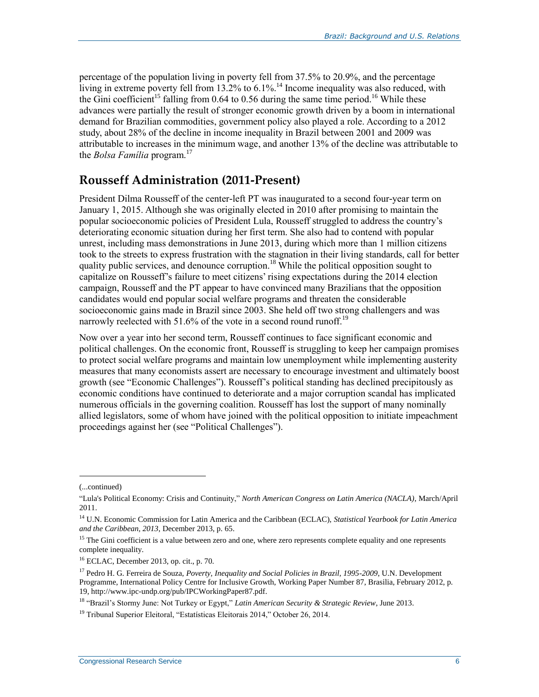percentage of the population living in poverty fell from 37.5% to 20.9%, and the percentage living in extreme poverty fell from  $13.2\%$  to 6.1%.<sup>14</sup> Income inequality was also reduced, with the Gini coefficient<sup>15</sup> falling from 0.64 to 0.56 during the same time period.<sup>16</sup> While these advances were partially the result of stronger economic growth driven by a boom in international demand for Brazilian commodities, government policy also played a role. According to a 2012 study, about 28% of the decline in income inequality in Brazil between 2001 and 2009 was attributable to increases in the minimum wage, and another 13% of the decline was attributable to the *Bolsa Família* program.<sup>17</sup>

## **Rousseff Administration (2011-Present)**

President Dilma Rousseff of the center-left PT was inaugurated to a second four-year term on January 1, 2015. Although she was originally elected in 2010 after promising to maintain the popular socioeconomic policies of President Lula, Rousseff struggled to address the country's deteriorating economic situation during her first term. She also had to contend with popular unrest, including mass demonstrations in June 2013, during which more than 1 million citizens took to the streets to express frustration with the stagnation in their living standards, call for better quality public services, and denounce corruption.<sup>18</sup> While the political opposition sought to capitalize on Rousseff's failure to meet citizens' rising expectations during the 2014 election campaign, Rousseff and the PT appear to have convinced many Brazilians that the opposition candidates would end popular social welfare programs and threaten the considerable socioeconomic gains made in Brazil since 2003. She held off two strong challengers and was narrowly reelected with 51.6% of the vote in a second round runoff.<sup>19</sup>

Now over a year into her second term, Rousseff continues to face significant economic and political challenges. On the economic front, Rousseff is struggling to keep her campaign promises to protect social welfare programs and maintain low unemployment while implementing austerity measures that many economists assert are necessary to encourage investment and ultimately boost growth (see ["Economic Challenges"](#page-9-0)). Rousseff's political standing has declined precipitously as economic conditions have continued to deteriorate and a major corruption scandal has implicated numerous officials in the governing coalition. Rousseff has lost the support of many nominally allied legislators, some of whom have joined with the political opposition to initiate impeachment proceedings against her (see ["Political Challenges"](#page-10-0)).

 $\overline{a}$ 

<sup>18</sup> "Brazil's Stormy June: Not Turkey or Egypt," *Latin American Security & Strategic Review*, June 2013.

<sup>(...</sup>continued)

<sup>&</sup>quot;Lula's Political Economy: Crisis and Continuity," *North American Congress on Latin America (NACLA)*, March/April 2011.

<sup>14</sup> U.N. Economic Commission for Latin America and the Caribbean (ECLAC), *Statistical Yearbook for Latin America and the Caribbean, 2013*, December 2013, p. 65.

<sup>&</sup>lt;sup>15</sup> The Gini coefficient is a value between zero and one, where zero represents complete equality and one represents complete inequality.

<sup>16</sup> ECLAC, December 2013, op. cit., p. 70.

<sup>17</sup> Pedro H. G. Ferreira de Souza, *Poverty, Inequality and Social Policies in Brazil, 1995-2009*, U.N. Development Programme, International Policy Centre for Inclusive Growth, Working Paper Number 87, Brasilia, February 2012, p. 19, http://www.ipc-undp.org/pub/IPCWorkingPaper87.pdf.

<sup>&</sup>lt;sup>19</sup> Tribunal Superior Eleitoral, "Estatísticas Eleitorais 2014," October 26, 2014.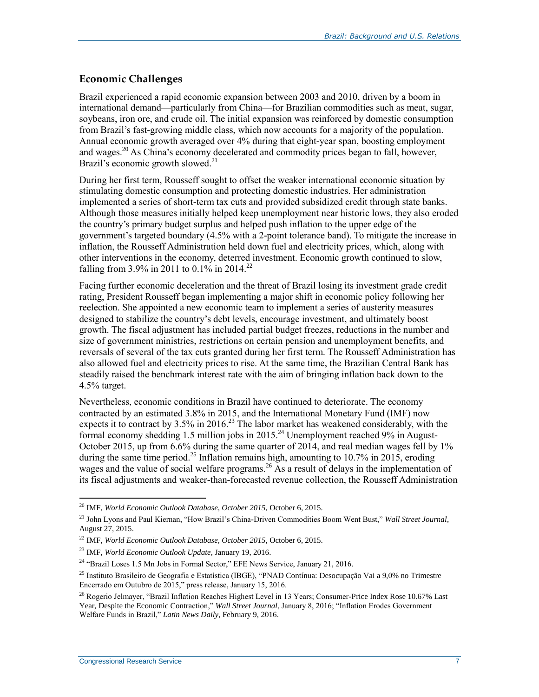### <span id="page-9-0"></span>**Economic Challenges**

Brazil experienced a rapid economic expansion between 2003 and 2010, driven by a boom in international demand—particularly from China—for Brazilian commodities such as meat, sugar, soybeans, iron ore, and crude oil. The initial expansion was reinforced by domestic consumption from Brazil's fast-growing middle class, which now accounts for a majority of the population. Annual economic growth averaged over 4% during that eight-year span, boosting employment and wages.<sup>20</sup> As China's economy decelerated and commodity prices began to fall, however, Brazil's economic growth slowed.<sup>21</sup>

During her first term, Rousseff sought to offset the weaker international economic situation by stimulating domestic consumption and protecting domestic industries. Her administration implemented a series of short-term tax cuts and provided subsidized credit through state banks. Although those measures initially helped keep unemployment near historic lows, they also eroded the country's primary budget surplus and helped push inflation to the upper edge of the government's targeted boundary (4.5% with a 2-point tolerance band). To mitigate the increase in inflation, the Rousseff Administration held down fuel and electricity prices, which, along with other interventions in the economy, deterred investment. Economic growth continued to slow, falling from 3.9% in 2011 to 0.1% in 2014.<sup>22</sup>

Facing further economic deceleration and the threat of Brazil losing its investment grade credit rating, President Rousseff began implementing a major shift in economic policy following her reelection. She appointed a new economic team to implement a series of austerity measures designed to stabilize the country's debt levels, encourage investment, and ultimately boost growth. The fiscal adjustment has included partial budget freezes, reductions in the number and size of government ministries, restrictions on certain pension and unemployment benefits, and reversals of several of the tax cuts granted during her first term. The Rousseff Administration has also allowed fuel and electricity prices to rise. At the same time, the Brazilian Central Bank has steadily raised the benchmark interest rate with the aim of bringing inflation back down to the 4.5% target.

Nevertheless, economic conditions in Brazil have continued to deteriorate. The economy contracted by an estimated 3.8% in 2015, and the International Monetary Fund (IMF) now expects it to contract by  $3.5\%$  in 2016.<sup>23</sup> The labor market has weakened considerably, with the formal economy shedding 1.5 million jobs in 2015.<sup>24</sup> Unemployment reached 9% in August-October 2015, up from 6.6% during the same quarter of 2014, and real median wages fell by 1% during the same time period.<sup>25</sup> Inflation remains high, amounting to 10.7% in 2015, eroding wages and the value of social welfare programs.<sup>26</sup> As a result of delays in the implementation of its fiscal adjustments and weaker-than-forecasted revenue collection, the Rousseff Administration

 $\overline{a}$ <sup>20</sup> IMF, *World Economic Outlook Database, October 2015*, October 6, 2015.

<sup>21</sup> John Lyons and Paul Kiernan, "How Brazil's China-Driven Commodities Boom Went Bust," *Wall Street Journal*, August 27, 2015.

<sup>22</sup> IMF, *World Economic Outlook Database, October 2015*, October 6, 2015.

<sup>23</sup> IMF, *World Economic Outlook Update*, January 19, 2016.

<sup>&</sup>lt;sup>24</sup> "Brazil Loses 1.5 Mn Jobs in Formal Sector," EFE News Service, January 21, 2016.

<sup>25</sup> Instituto Brasileiro de Geografia e Estatística (IBGE), "PNAD Contínua: Desocupação Vai a 9,0% no Trimestre Encerrado em Outubro de 2015," press release, January 15, 2016.

<sup>&</sup>lt;sup>26</sup> Rogerio Jelmayer, "Brazil Inflation Reaches Highest Level in 13 Years; Consumer-Price Index Rose 10.67% Last Year, Despite the Economic Contraction," *Wall Street Journal*, January 8, 2016; "Inflation Erodes Government Welfare Funds in Brazil," *Latin News Daily*, February 9, 2016.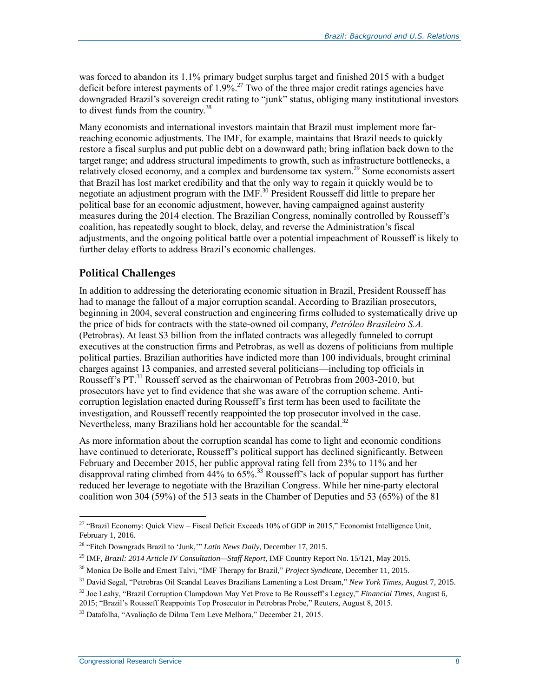was forced to abandon its 1.1% primary budget surplus target and finished 2015 with a budget deficit before interest payments of 1.9%.<sup>27</sup> Two of the three major credit ratings agencies have downgraded Brazil's sovereign credit rating to "junk" status, obliging many institutional investors to divest funds from the country.<sup>28</sup>

Many economists and international investors maintain that Brazil must implement more farreaching economic adjustments. The IMF, for example, maintains that Brazil needs to quickly restore a fiscal surplus and put public debt on a downward path; bring inflation back down to the target range; and address structural impediments to growth, such as infrastructure bottlenecks, a relatively closed economy, and a complex and burdensome tax system.<sup>29</sup> Some economists assert that Brazil has lost market credibility and that the only way to regain it quickly would be to negotiate an adjustment program with the IMF. <sup>30</sup> President Rousseff did little to prepare her political base for an economic adjustment, however, having campaigned against austerity measures during the 2014 election. The Brazilian Congress, nominally controlled by Rousseff's coalition, has repeatedly sought to block, delay, and reverse the Administration's fiscal adjustments, and the ongoing political battle over a potential impeachment of Rousseff is likely to further delay efforts to address Brazil's economic challenges.

### <span id="page-10-0"></span>**Political Challenges**

In addition to addressing the deteriorating economic situation in Brazil, President Rousseff has had to manage the fallout of a major corruption scandal. According to Brazilian prosecutors, beginning in 2004, several construction and engineering firms colluded to systematically drive up the price of bids for contracts with the state-owned oil company, *Petróleo Brasileiro S.A.* (Petrobras). At least \$3 billion from the inflated contracts was allegedly funneled to corrupt executives at the construction firms and Petrobras, as well as dozens of politicians from multiple political parties. Brazilian authorities have indicted more than 100 individuals, brought criminal charges against 13 companies, and arrested several politicians—including top officials in Rousseff's PT. <sup>31</sup> Rousseff served as the chairwoman of Petrobras from 2003-2010, but prosecutors have yet to find evidence that she was aware of the corruption scheme. Anticorruption legislation enacted during Rousseff's first term has been used to facilitate the investigation, and Rousseff recently reappointed the top prosecutor involved in the case. Nevertheless, many Brazilians hold her accountable for the scandal.<sup>32</sup>

As more information about the corruption scandal has come to light and economic conditions have continued to deteriorate, Rousseff's political support has declined significantly. Between February and December 2015, her public approval rating fell from 23% to 11% and her disapproval rating climbed from 44% to 65%.<sup>33</sup> Rousseff's lack of popular support has further reduced her leverage to negotiate with the Brazilian Congress. While her nine-party electoral coalition won 304 (59%) of the 513 seats in the Chamber of Deputies and 53 (65%) of the 81

<sup>&</sup>lt;sup>27</sup> "Brazil Economy: Quick View – Fiscal Deficit Exceeds 10% of GDP in 2015," Economist Intelligence Unit, February 1, 2016.

<sup>28</sup> "Fitch Downgrads Brazil to 'Junk,'" *Latin News Daily*, December 17, 2015.

<sup>29</sup> IMF, *Brazil: 2014 Article IV Consultation—Staff Report*, IMF Country Report No. 15/121, May 2015.

<sup>30</sup> Monica De Bolle and Ernest Talvi, "IMF Therapy for Brazil," *Project Syndicate*, December 11, 2015.

<sup>31</sup> David Segal, "Petrobras Oil Scandal Leaves Brazilians Lamenting a Lost Dream," *New York Times*, August 7, 2015.

<sup>32</sup> Joe Leahy, "Brazil Corruption Clampdown May Yet Prove to Be Rousseff's Legacy," *Financial Times*, August 6, 2015; "Brazil's Rousseff Reappoints Top Prosecutor in Petrobras Probe," Reuters, August 8, 2015.

<sup>33</sup> Datafolha, "Avaliação de Dilma Tem Leve Melhora," December 21, 2015.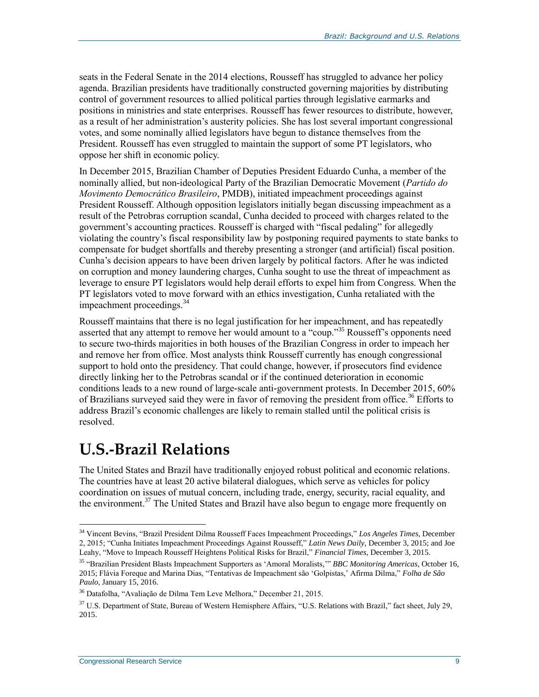seats in the Federal Senate in the 2014 elections, Rousseff has struggled to advance her policy agenda. Brazilian presidents have traditionally constructed governing majorities by distributing control of government resources to allied political parties through legislative earmarks and positions in ministries and state enterprises. Rousseff has fewer resources to distribute, however, as a result of her administration's austerity policies. She has lost several important congressional votes, and some nominally allied legislators have begun to distance themselves from the President. Rousseff has even struggled to maintain the support of some PT legislators, who oppose her shift in economic policy.

In December 2015, Brazilian Chamber of Deputies President Eduardo Cunha, a member of the nominally allied, but non-ideological Party of the Brazilian Democratic Movement (*Partido do Movimento Democrático Brasileiro*, PMDB), initiated impeachment proceedings against President Rousseff. Although opposition legislators initially began discussing impeachment as a result of the Petrobras corruption scandal, Cunha decided to proceed with charges related to the government's accounting practices. Rousseff is charged with "fiscal pedaling" for allegedly violating the country's fiscal responsibility law by postponing required payments to state banks to compensate for budget shortfalls and thereby presenting a stronger (and artificial) fiscal position. Cunha's decision appears to have been driven largely by political factors. After he was indicted on corruption and money laundering charges, Cunha sought to use the threat of impeachment as leverage to ensure PT legislators would help derail efforts to expel him from Congress. When the PT legislators voted to move forward with an ethics investigation, Cunha retaliated with the impeachment proceedings. 34

Rousseff maintains that there is no legal justification for her impeachment, and has repeatedly asserted that any attempt to remove her would amount to a "coup."<sup>35</sup> Rousseff's opponents need to secure two-thirds majorities in both houses of the Brazilian Congress in order to impeach her and remove her from office. Most analysts think Rousseff currently has enough congressional support to hold onto the presidency. That could change, however, if prosecutors find evidence directly linking her to the Petrobras scandal or if the continued deterioration in economic conditions leads to a new round of large-scale anti-government protests. In December 2015, 60% of Brazilians surveyed said they were in favor of removing the president from office.<sup>36</sup> Efforts to address Brazil's economic challenges are likely to remain stalled until the political crisis is resolved.

## <span id="page-11-0"></span>**U.S.-Brazil Relations**

The United States and Brazil have traditionally enjoyed robust political and economic relations. The countries have at least 20 active bilateral dialogues, which serve as vehicles for policy coordination on issues of mutual concern, including trade, energy, security, racial equality, and the environment.<sup>37</sup> The United States and Brazil have also begun to engage more frequently on

<sup>34</sup> Vincent Bevins, "Brazil President Dilma Rousseff Faces Impeachment Proceedings," *Los Angeles Times*, December 2, 2015; "Cunha Initiates Impeachment Proceedings Against Rousseff," *Latin News Daily*, December 3, 2015; and Joe Leahy, "Move to Impeach Rousseff Heightens Political Risks for Brazil," *Financial Times*, December 3, 2015.

<sup>35</sup> "Brazilian President Blasts Impeachment Supporters as 'Amoral Moralists,'" *BBC Monitoring Americas*, October 16, 2015; Flávia Foreque and Marina Dias, "Tentativas de Impeachment são 'Golpistas,' Afirma Dilma," *Folha de São Paulo*, January 15, 2016.

<sup>36</sup> Datafolha, "Avaliação de Dilma Tem Leve Melhora," December 21, 2015.

<sup>&</sup>lt;sup>37</sup> U.S. Department of State, Bureau of Western Hemisphere Affairs, "U.S. Relations with Brazil," fact sheet, July 29, 2015.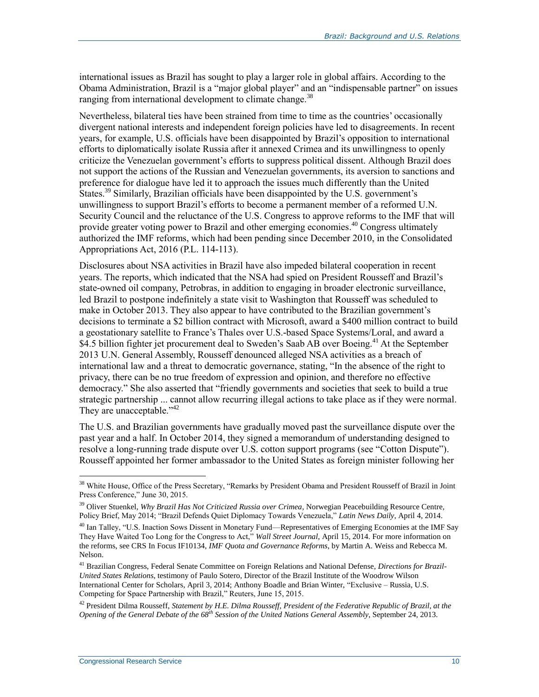international issues as Brazil has sought to play a larger role in global affairs. According to the Obama Administration, Brazil is a "major global player" and an "indispensable partner" on issues ranging from international development to climate change.<sup>38</sup>

Nevertheless, bilateral ties have been strained from time to time as the countries' occasionally divergent national interests and independent foreign policies have led to disagreements. In recent years, for example, U.S. officials have been disappointed by Brazil's opposition to international efforts to diplomatically isolate Russia after it annexed Crimea and its unwillingness to openly criticize the Venezuelan government's efforts to suppress political dissent. Although Brazil does not support the actions of the Russian and Venezuelan governments, its aversion to sanctions and preference for dialogue have led it to approach the issues much differently than the United States.<sup>39</sup> Similarly, Brazilian officials have been disappointed by the U.S. government's unwillingness to support Brazil's efforts to become a permanent member of a reformed U.N. Security Council and the reluctance of the U.S. Congress to approve reforms to the IMF that will provide greater voting power to Brazil and other emerging economies. <sup>40</sup> Congress ultimately authorized the IMF reforms, which had been pending since December 2010, in the Consolidated Appropriations Act, 2016 (P.L. 114-113).

Disclosures about NSA activities in Brazil have also impeded bilateral cooperation in recent years. The reports, which indicated that the NSA had spied on President Rousseff and Brazil's state-owned oil company, Petrobras, in addition to engaging in broader electronic surveillance, led Brazil to postpone indefinitely a state visit to Washington that Rousseff was scheduled to make in October 2013. They also appear to have contributed to the Brazilian government's decisions to terminate a \$2 billion contract with Microsoft, award a \$400 million contract to build a geostationary satellite to France's Thales over U.S.-based Space Systems/Loral, and award a \$4.5 billion fighter jet procurement deal to Sweden's Saab AB over Boeing.<sup>41</sup> At the September 2013 U.N. General Assembly, Rousseff denounced alleged NSA activities as a breach of international law and a threat to democratic governance, stating, "In the absence of the right to privacy, there can be no true freedom of expression and opinion, and therefore no effective democracy." She also asserted that "friendly governments and societies that seek to build a true strategic partnership ... cannot allow recurring illegal actions to take place as if they were normal. They are unacceptable."<sup>42</sup>

The U.S. and Brazilian governments have gradually moved past the surveillance dispute over the past year and a half. In October 2014, they signed a memorandum of understanding designed to resolve a long-running trade dispute over U.S. cotton support programs (see ["Cotton Dispute"](#page-18-0)). Rousseff appointed her former ambassador to the United States as foreign minister following her

<sup>&</sup>lt;sup>38</sup> White House, Office of the Press Secretary, "Remarks by President Obama and President Rousseff of Brazil in Joint Press Conference," June 30, 2015.

<sup>&</sup>lt;sup>39</sup> Oliver Stuenkel, *Why Brazil Has Not Criticized Russia over Crimea*, Norwegian Peacebuilding Resource Centre, Policy Brief, May 2014; "Brazil Defends Quiet Diplomacy Towards Venezuela," *Latin News Daily*, April 4, 2014.

<sup>&</sup>lt;sup>40</sup> Ian Talley, "U.S. Inaction Sows Dissent in Monetary Fund—Representatives of Emerging Economies at the IMF Say They Have Waited Too Long for the Congress to Act," *Wall Street Journal*, April 15, 2014. For more information on the reforms, see CRS In Focus IF10134, *IMF Quota and Governance Reforms*, by Martin A. Weiss and Rebecca M. Nelson.

<sup>41</sup> Brazilian Congress, Federal Senate Committee on Foreign Relations and National Defense, *Directions for Brazil-United States Relations*, testimony of Paulo Sotero, Director of the Brazil Institute of the Woodrow Wilson International Center for Scholars, April 3, 2014; Anthony Boadle and Brian Winter, "Exclusive – Russia, U.S. Competing for Space Partnership with Brazil," Reuters, June 15, 2015.

<sup>42</sup> President Dilma Rousseff, *Statement by H.E. Dilma Rousseff, President of the Federative Republic of Brazil, at the Opening of the General Debate of the 68th Session of the United Nations General Assembly*, September 24, 2013.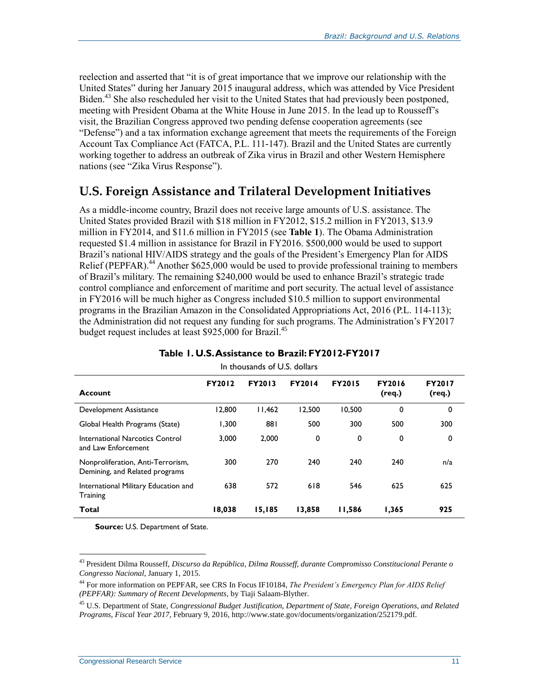reelection and asserted that "it is of great importance that we improve our relationship with the United States" during her January 2015 inaugural address, which was attended by Vice President Biden.<sup>43</sup> She also rescheduled her visit to the United States that had previously been postponed, meeting with President Obama at the White House in June 2015. In the lead up to Rousseff's visit, the Brazilian Congress approved two pending defense cooperation agreements (see ["Defense"](#page-24-0)) and a tax information exchange agreement that meets the requirements of the Foreign Account Tax Compliance Act (FATCA, P.L. 111-147). Brazil and the United States are currently working together to address an outbreak of Zika virus in Brazil and other Western Hemisphere nations (see "Zika [Virus Response"](#page-14-0)).

### <span id="page-13-0"></span>**U.S. Foreign Assistance and Trilateral Development Initiatives**

As a middle-income country, Brazil does not receive large amounts of U.S. assistance. The United States provided Brazil with \$18 million in FY2012, \$15.2 million in FY2013, \$13.9 million in FY2014, and \$11.6 million in FY2015 (see **[Table 1](#page-13-1)**). The Obama Administration requested \$1.4 million in assistance for Brazil in FY2016. \$500,000 would be used to support Brazil's national HIV/AIDS strategy and the goals of the President's Emergency Plan for AIDS Relief (PEPFAR).<sup>44</sup> Another \$625,000 would be used to provide professional training to members of Brazil's military. The remaining \$240,000 would be used to enhance Brazil's strategic trade control compliance and enforcement of maritime and port security. The actual level of assistance in FY2016 will be much higher as Congress included \$10.5 million to support environmental programs in the Brazilian Amazon in the Consolidated Appropriations Act, 2016 (P.L. 114-113); the Administration did not request any funding for such programs. The Administration's FY2017 budget request includes at least \$925,000 for Brazil.<sup>45</sup>

<span id="page-13-1"></span>

| In thousands of U.S. dollars                                        |               |               |               |               |                         |                  |  |  |  |
|---------------------------------------------------------------------|---------------|---------------|---------------|---------------|-------------------------|------------------|--|--|--|
| <b>Account</b>                                                      | <b>FY2012</b> | <b>FY2013</b> | <b>FY2014</b> | <b>FY2015</b> | <b>FY2016</b><br>(req.) | FY2017<br>(req.) |  |  |  |
| Development Assistance                                              | 12,800        | 11,462        | 12.500        | 10.500        | 0                       | 0                |  |  |  |
| Global Health Programs (State)                                      | 1.300         | 881           | 500           | 300           | 500                     | 300              |  |  |  |
| International Narcotics Control<br>and Law Enforcement              | 3.000         | 2.000         | 0             | 0             | 0                       | 0                |  |  |  |
| Nonproliferation, Anti-Terrorism,<br>Demining, and Related programs | 300           | 270           | 240           | 240           | 240                     | n/a              |  |  |  |
| International Military Education and<br>Training                    | 638           | 572           | 618           | 546           | 625                     | 625              |  |  |  |
| Total                                                               | 18,038        | 15,185        | 13,858        | 11,586        | 1,365                   | 925              |  |  |  |

#### **Table 1. U.S. Assistance to Brazil: FY2012-FY2017**

**Source:** U.S. Department of State.

<sup>43</sup> President Dilma Rousseff, *Discurso da República, Dilma Rousseff, durante Compromisso Constitucional Perante o Congresso Nacional*, January 1, 2015.

<sup>44</sup> For more information on PEPFAR, see CRS In Focus IF10184, *The President's Emergency Plan for AIDS Relief (PEPFAR): Summary of Recent Developments*, by Tiaji Salaam-Blyther.

<sup>45</sup> U.S. Department of State, *Congressional Budget Justification, Department of State, Foreign Operations, and Related Programs, Fiscal Year 2017*, February 9, 2016, http://www.state.gov/documents/organization/252179.pdf.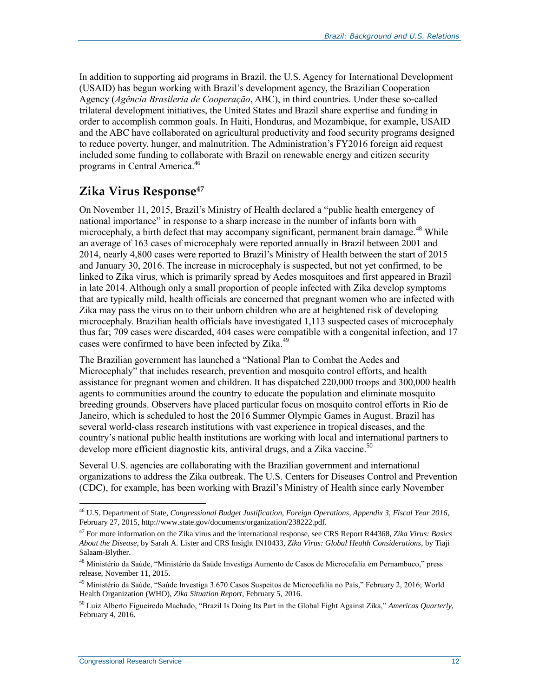In addition to supporting aid programs in Brazil, the U.S. Agency for International Development (USAID) has begun working with Brazil's development agency, the Brazilian Cooperation Agency (*Agência Brasileria de Cooperação*, ABC), in third countries. Under these so-called trilateral development initiatives, the United States and Brazil share expertise and funding in order to accomplish common goals. In Haiti, Honduras, and Mozambique, for example, USAID and the ABC have collaborated on agricultural productivity and food security programs designed to reduce poverty, hunger, and malnutrition. The Administration's FY2016 foreign aid request included some funding to collaborate with Brazil on renewable energy and citizen security programs in Central America. 46

## <span id="page-14-0"></span>**Zika Virus Response<sup>47</sup>**

On November 11, 2015, Brazil's Ministry of Health declared a "public health emergency of national importance" in response to a sharp increase in the number of infants born with microcephaly, a birth defect that may accompany significant, permanent brain damage.<sup>48</sup> While an average of 163 cases of microcephaly were reported annually in Brazil between 2001 and 2014, nearly 4,800 cases were reported to Brazil's Ministry of Health between the start of 2015 and January 30, 2016. The increase in microcephaly is suspected, but not yet confirmed, to be linked to Zika virus, which is primarily spread by Aedes mosquitoes and first appeared in Brazil in late 2014. Although only a small proportion of people infected with Zika develop symptoms that are typically mild, health officials are concerned that pregnant women who are infected with Zika may pass the virus on to their unborn children who are at heightened risk of developing microcephaly. Brazilian health officials have investigated 1,113 suspected cases of microcephaly thus far; 709 cases were discarded, 404 cases were compatible with a congenital infection, and 17 cases were confirmed to have been infected by Zika.<sup>49</sup>

The Brazilian government has launched a "National Plan to Combat the Aedes and Microcephaly" that includes research, prevention and mosquito control efforts, and health assistance for pregnant women and children. It has dispatched 220,000 troops and 300,000 health agents to communities around the country to educate the population and eliminate mosquito breeding grounds. Observers have placed particular focus on mosquito control efforts in Rio de Janeiro, which is scheduled to host the 2016 Summer Olympic Games in August. Brazil has several world-class research institutions with vast experience in tropical diseases, and the country's national public health institutions are working with local and international partners to develop more efficient diagnostic kits, antiviral drugs, and a Zika vaccine.<sup>50</sup>

Several U.S. agencies are collaborating with the Brazilian government and international organizations to address the Zika outbreak. The U.S. Centers for Diseases Control and Prevention (CDC), for example, has been working with Brazil's Ministry of Health since early November

<sup>46</sup> U.S. Department of State, *Congressional Budget Justification, Foreign Operations, Appendix 3, Fiscal Year 2016*, February 27, 2015, http://www.state.gov/documents/organization/238222.pdf.

<sup>47</sup> For more information on the Zika virus and the international response, see CRS Report R44368, *Zika Virus: Basics About the Disease*, by Sarah A. Lister and CRS Insight IN10433, *Zika Virus: Global Health Considerations*, by Tiaji Salaam-Blyther.

<sup>48</sup> Ministério da Saúde, "Ministério da Saúde Investiga Aumento de Casos de Microcefalia em Pernambuco," press release, November 11, 2015.

<sup>&</sup>lt;sup>49</sup> Ministério da Saúde, "Saúde Investiga 3.670 Casos Suspeitos de Microcefalia no País," February 2, 2016; World Health Organization (WHO), *Zika Situation Report*, February 5, 2016.

<sup>50</sup> Luiz Alberto Figueiredo Machado, "Brazil Is Doing Its Part in the Global Fight Against Zika," *Americas Quarterly*, February 4, 2016.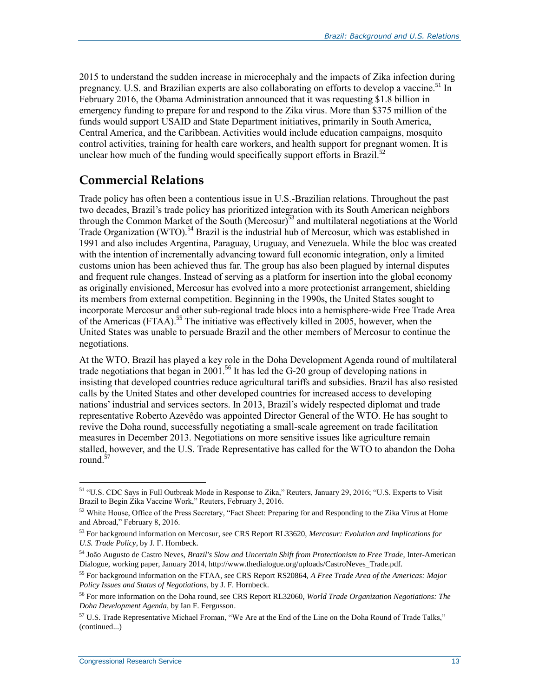2015 to understand the sudden increase in microcephaly and the impacts of Zika infection during pregnancy. U.S. and Brazilian experts are also collaborating on efforts to develop a vaccine.<sup>51</sup> In February 2016, the Obama Administration announced that it was requesting \$1.8 billion in emergency funding to prepare for and respond to the Zika virus. More than \$375 million of the funds would support USAID and State Department initiatives, primarily in South America, Central America, and the Caribbean. Activities would include education campaigns, mosquito control activities, training for health care workers, and health support for pregnant women. It is unclear how much of the funding would specifically support efforts in Brazil.<sup>52</sup>

## **Commercial Relations**

Trade policy has often been a contentious issue in U.S.-Brazilian relations. Throughout the past two decades, Brazil's trade policy has prioritized integration with its South American neighbors through the Common Market of the South (Mercosur) $53$  and multilateral negotiations at the World Trade Organization (WTO).<sup>54</sup> Brazil is the industrial hub of Mercosur, which was established in 1991 and also includes Argentina, Paraguay, Uruguay, and Venezuela. While the bloc was created with the intention of incrementally advancing toward full economic integration, only a limited customs union has been achieved thus far. The group has also been plagued by internal disputes and frequent rule changes. Instead of serving as a platform for insertion into the global economy as originally envisioned, Mercosur has evolved into a more protectionist arrangement, shielding its members from external competition. Beginning in the 1990s, the United States sought to incorporate Mercosur and other sub-regional trade blocs into a hemisphere-wide Free Trade Area of the Americas (FTAA).<sup>55</sup> The initiative was effectively killed in 2005, however, when the United States was unable to persuade Brazil and the other members of Mercosur to continue the negotiations.

At the WTO, Brazil has played a key role in the Doha Development Agenda round of multilateral trade negotiations that began in 2001.<sup>56</sup> It has led the G-20 group of developing nations in insisting that developed countries reduce agricultural tariffs and subsidies. Brazil has also resisted calls by the United States and other developed countries for increased access to developing nations' industrial and services sectors. In 2013, Brazil's widely respected diplomat and trade representative Roberto Azevêdo was appointed Director General of the WTO. He has sought to revive the Doha round, successfully negotiating a small-scale agreement on trade facilitation measures in December 2013. Negotiations on more sensitive issues like agriculture remain stalled, however, and the U.S. Trade Representative has called for the WTO to abandon the Doha round.<sup>57</sup>

<sup>51</sup> "U.S. CDC Says in Full Outbreak Mode in Response to Zika," Reuters, January 29, 2016; "U.S. Experts to Visit Brazil to Begin Zika Vaccine Work," Reuters, February 3, 2016.

 $52$  White House, Office of the Press Secretary, "Fact Sheet: Preparing for and Responding to the Zika Virus at Home and Abroad," February 8, 2016.

<sup>53</sup> For background information on Mercosur, see CRS Report RL33620, *Mercosur: Evolution and Implications for U.S. Trade Policy*, by J. F. Hornbeck.

<sup>54</sup> João Augusto de Castro Neves, *Brazil's Slow and Uncertain Shift from Protectionism to Free Trade*, Inter-American Dialogue, working paper, January 2014, http://www.thedialogue.org/uploads/CastroNeves\_Trade.pdf.

<sup>55</sup> For background information on the FTAA, see CRS Report RS20864, *A Free Trade Area of the Americas: Major Policy Issues and Status of Negotiations*, by J. F. Hornbeck.

<sup>56</sup> For more information on the Doha round, see CRS Report RL32060, *World Trade Organization Negotiations: The Doha Development Agenda*, by Ian F. Fergusson.

 $57$  U.S. Trade Representative Michael Froman, "We Are at the End of the Line on the Doha Round of Trade Talks," (continued...)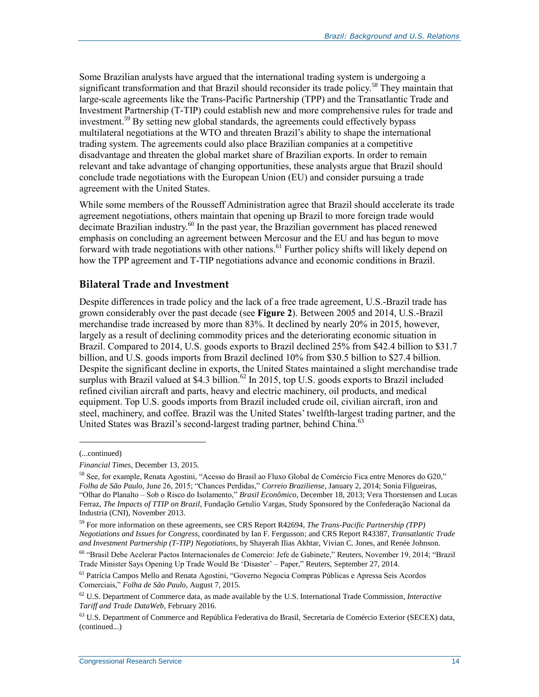Some Brazilian analysts have argued that the international trading system is undergoing a significant transformation and that Brazil should reconsider its trade policy.<sup>58</sup> They maintain that large-scale agreements like the Trans-Pacific Partnership (TPP) and the Transatlantic Trade and Investment Partnership (T-TIP) could establish new and more comprehensive rules for trade and investment.<sup>59</sup> By setting new global standards, the agreements could effectively bypass multilateral negotiations at the WTO and threaten Brazil's ability to shape the international trading system. The agreements could also place Brazilian companies at a competitive disadvantage and threaten the global market share of Brazilian exports. In order to remain relevant and take advantage of changing opportunities, these analysts argue that Brazil should conclude trade negotiations with the European Union (EU) and consider pursuing a trade agreement with the United States.

While some members of the Rousseff Administration agree that Brazil should accelerate its trade agreement negotiations, others maintain that opening up Brazil to more foreign trade would decimate Brazilian industry.<sup>60</sup> In the past year, the Brazilian government has placed renewed emphasis on concluding an agreement between Mercosur and the EU and has begun to move forward with trade negotiations with other nations.<sup>61</sup> Further policy shifts will likely depend on how the TPP agreement and T-TIP negotiations advance and economic conditions in Brazil.

#### <span id="page-16-0"></span>**Bilateral Trade and Investment**

Despite differences in trade policy and the lack of a free trade agreement, U.S.-Brazil trade has grown considerably over the past decade (see **[Figure 2](#page-17-0)**). Between 2005 and 2014, U.S.-Brazil merchandise trade increased by more than 83%. It declined by nearly 20% in 2015, however, largely as a result of declining commodity prices and the deteriorating economic situation in Brazil. Compared to 2014, U.S. goods exports to Brazil declined 25% from \$42.4 billion to \$31.7 billion, and U.S. goods imports from Brazil declined 10% from \$30.5 billion to \$27.4 billion. Despite the significant decline in exports, the United States maintained a slight merchandise trade surplus with Brazil valued at \$4.3 billion.<sup>62</sup> In 2015, top U.S. goods exports to Brazil included refined civilian aircraft and parts, heavy and electric machinery, oil products, and medical equipment. Top U.S. goods imports from Brazil included crude oil, civilian aircraft, iron and steel, machinery, and coffee. Brazil was the United States' twelfth-largest trading partner, and the United States was Brazil's second-largest trading partner, behind China.<sup>63</sup>

<sup>(...</sup>continued)

*Financial Times*, December 13, 2015.

<sup>58</sup> See, for example, Renata Agostini, "Acesso do Brasil ao Fluxo Global de Comércio Fica entre Menores do G20," *Folha de São Paulo*, June 26, 2015; "Chances Perdidas," *Correio Braziliense*, January 2, 2014; Sonia Filgueiras, "Olhar do Planalto – Sob o Risco do Isolamento," *Brasil Econômico*, December 18, 2013; Vera Thorstensen and Lucas Ferraz, *The Impacts of TTIP on Brazil*, Fundação Getulio Vargas, Study Sponsored by the Confederação Nacional da Industria (CNI), November 2013.

<sup>59</sup> For more information on these agreements, see CRS Report R42694, *The Trans-Pacific Partnership (TPP) Negotiations and Issues for Congress*, coordinated by Ian F. Fergusson; and CRS Report R43387, *Transatlantic Trade and Investment Partnership (T-TIP) Negotiations*, by Shayerah Ilias Akhtar, Vivian C. Jones, and Renée Johnson.

<sup>60</sup> "Brasil Debe Acelerar Pactos Internacionales de Comercio: Jefe de Gabinete," Reuters, November 19, 2014; "Brazil Trade Minister Says Opening Up Trade Would Be 'Disaster' – Paper," Reuters, September 27, 2014.

<sup>61</sup> Patrícia Campos Mello and Renata Agostini, "Governo Negocia Compras Públicas e Apressa Seis Acordos Comerciais," *Folha de São Paulo*, August 7, 2015.

<sup>62</sup> U.S. Department of Commerce data, as made available by the U.S. International Trade Commission, *Interactive Tariff and Trade DataWeb*, February 2016.

 $63$  U.S. Department of Commerce and República Federativa do Brasil, Secretaria de Comércio Exterior (SECEX) data, (continued...)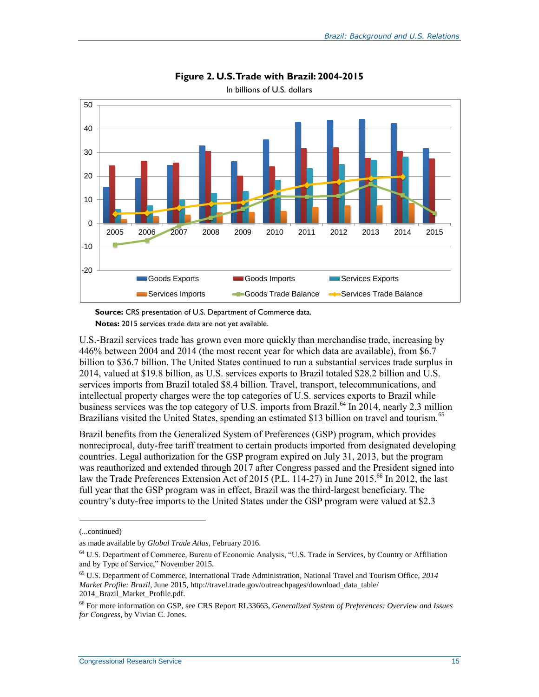<span id="page-17-0"></span>

**Figure 2. U.S. Trade with Brazil: 2004-2015**

In billions of U.S. dollars

U.S.-Brazil services trade has grown even more quickly than merchandise trade, increasing by 446% between 2004 and 2014 (the most recent year for which data are available), from \$6.7 billion to \$36.7 billion. The United States continued to run a substantial services trade surplus in 2014, valued at \$19.8 billion, as U.S. services exports to Brazil totaled \$28.2 billion and U.S. services imports from Brazil totaled \$8.4 billion. Travel, transport, telecommunications, and intellectual property charges were the top categories of U.S. services exports to Brazil while business services was the top category of U.S. imports from Brazil.<sup>64</sup> In 2014, nearly 2.3 million Brazilians visited the United States, spending an estimated \$13 billion on travel and tourism.<sup>65</sup>

Brazil benefits from the Generalized System of Preferences (GSP) program, which provides nonreciprocal, duty-free tariff treatment to certain products imported from designated developing countries. Legal authorization for the GSP program expired on July 31, 2013, but the program was reauthorized and extended through 2017 after Congress passed and the President signed into law the Trade Preferences Extension Act of 2015 (P.L. 114-27) in June 2015.<sup>66</sup> In 2012, the last full year that the GSP program was in effect, Brazil was the third-largest beneficiary. The country's duty-free imports to the United States under the GSP program were valued at \$2.3

l

**Source:** CRS presentation of U.S. Department of Commerce data. **Notes:** 2015 services trade data are not yet available.

<sup>(...</sup>continued)

as made available by *Global Trade Atlas*, February 2016.

<sup>64</sup> U.S. Department of Commerce, Bureau of Economic Analysis, "U.S. Trade in Services, by Country or Affiliation and by Type of Service," November 2015.

<sup>65</sup> U.S. Department of Commerce, International Trade Administration, National Travel and Tourism Office, *2014 Market Profile: Brazil*, June 2015, http://travel.trade.gov/outreachpages/download\_data\_table/ 2014\_Brazil\_Market\_Profile.pdf.

<sup>66</sup> For more information on GSP, see CRS Report RL33663, *Generalized System of Preferences: Overview and Issues for Congress*, by Vivian C. Jones.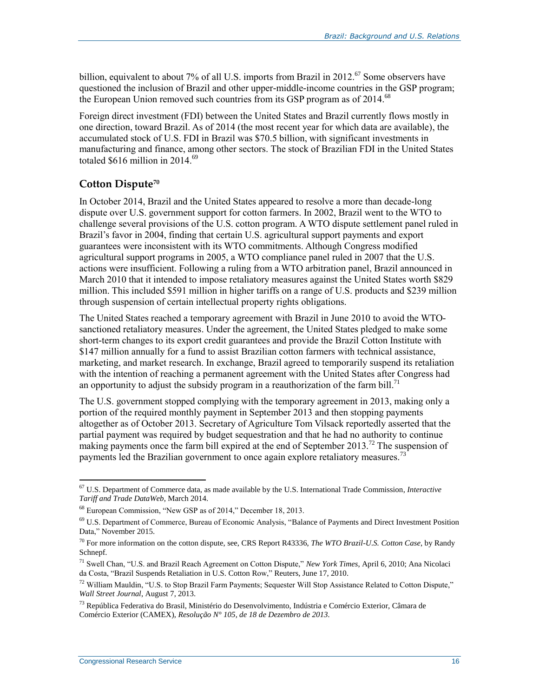billion, equivalent to about 7% of all U.S. imports from Brazil in 2012.<sup>67</sup> Some observers have questioned the inclusion of Brazil and other upper-middle-income countries in the GSP program; the European Union removed such countries from its GSP program as of 2014.<sup>68</sup>

Foreign direct investment (FDI) between the United States and Brazil currently flows mostly in one direction, toward Brazil. As of 2014 (the most recent year for which data are available), the accumulated stock of U.S. FDI in Brazil was \$70.5 billion, with significant investments in manufacturing and finance, among other sectors. The stock of Brazilian FDI in the United States totaled \$616 million in 2014.<sup>69</sup>

### <span id="page-18-0"></span>**Cotton Dispute<sup>70</sup>**

In October 2014, Brazil and the United States appeared to resolve a more than decade-long dispute over U.S. government support for cotton farmers. In 2002, Brazil went to the WTO to challenge several provisions of the U.S. cotton program. A WTO dispute settlement panel ruled in Brazil's favor in 2004, finding that certain U.S. agricultural support payments and export guarantees were inconsistent with its WTO commitments. Although Congress modified agricultural support programs in 2005, a WTO compliance panel ruled in 2007 that the U.S. actions were insufficient. Following a ruling from a WTO arbitration panel, Brazil announced in March 2010 that it intended to impose retaliatory measures against the United States worth \$829 million. This included \$591 million in higher tariffs on a range of U.S. products and \$239 million through suspension of certain intellectual property rights obligations.

The United States reached a temporary agreement with Brazil in June 2010 to avoid the WTOsanctioned retaliatory measures. Under the agreement, the United States pledged to make some short-term changes to its export credit guarantees and provide the Brazil Cotton Institute with \$147 million annually for a fund to assist Brazilian cotton farmers with technical assistance, marketing, and market research. In exchange, Brazil agreed to temporarily suspend its retaliation with the intention of reaching a permanent agreement with the United States after Congress had an opportunity to adjust the subsidy program in a reauthorization of the farm bill.<sup>71</sup>

The U.S. government stopped complying with the temporary agreement in 2013, making only a portion of the required monthly payment in September 2013 and then stopping payments altogether as of October 2013. Secretary of Agriculture Tom Vilsack reportedly asserted that the partial payment was required by budget sequestration and that he had no authority to continue making payments once the farm bill expired at the end of September 2013.<sup>72</sup> The suspension of payments led the Brazilian government to once again explore retaliatory measures.<sup>73</sup>

<sup>67</sup> U.S. Department of Commerce data, as made available by the U.S. International Trade Commission, *Interactive Tariff and Trade DataWeb*, March 2014.

<sup>68</sup> European Commission, "New GSP as of 2014," December 18, 2013.

<sup>69</sup> U.S. Department of Commerce, Bureau of Economic Analysis, "Balance of Payments and Direct Investment Position Data," November 2015.

<sup>70</sup> For more information on the cotton dispute, see, CRS Report R43336, *The WTO Brazil-U.S. Cotton Case*, by Randy Schnepf.

<sup>71</sup> Swell Chan, "U.S. and Brazil Reach Agreement on Cotton Dispute," *New York Times*, April 6, 2010; Ana Nicolaci da Costa, "Brazil Suspends Retaliation in U.S. Cotton Row," Reuters, June 17, 2010.

 $72$  William Mauldin, "U.S. to Stop Brazil Farm Payments; Sequester Will Stop Assistance Related to Cotton Dispute," *Wall Street Journal*, August 7, 2013.

<sup>73</sup> República Federativa do Brasil, Ministério do Desenvolvimento, Indústria e Comércio Exterior, Câmara de Comércio Exterior (CAMEX), *Resolução N° 105, de 18 de Dezembro de 2013.*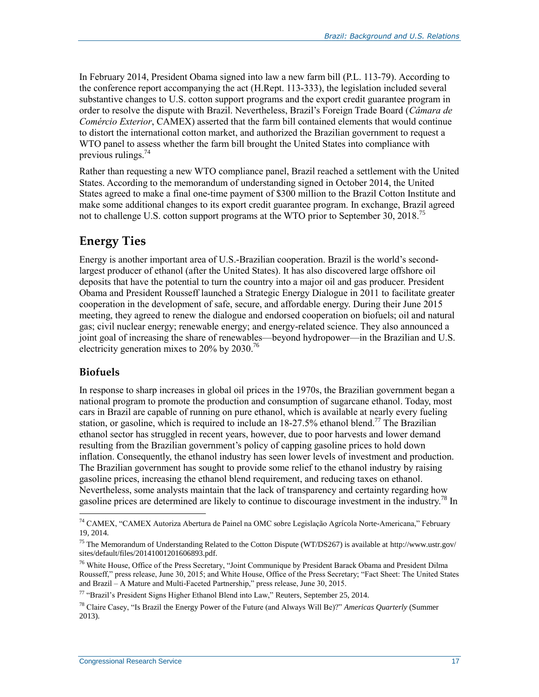In February 2014, President Obama signed into law a new farm bill (P.L. 113-79). According to the conference report accompanying the act (H.Rept. 113-333), the legislation included several substantive changes to U.S. cotton support programs and the export credit guarantee program in order to resolve the dispute with Brazil. Nevertheless, Brazil's Foreign Trade Board (*Câmara de Comércio Exterior*, CAMEX) asserted that the farm bill contained elements that would continue to distort the international cotton market, and authorized the Brazilian government to request a WTO panel to assess whether the farm bill brought the United States into compliance with previous rulings. $74$ 

Rather than requesting a new WTO compliance panel, Brazil reached a settlement with the United States. According to the memorandum of understanding signed in October 2014, the United States agreed to make a final one-time payment of \$300 million to the Brazil Cotton Institute and make some additional changes to its export credit guarantee program. In exchange, Brazil agreed not to challenge U.S. cotton support programs at the WTO prior to September 30, 2018.<sup>75</sup>

## **Energy Ties**

Energy is another important area of U.S.-Brazilian cooperation. Brazil is the world's secondlargest producer of ethanol (after the United States). It has also discovered large offshore oil deposits that have the potential to turn the country into a major oil and gas producer. President Obama and President Rousseff launched a Strategic Energy Dialogue in 2011 to facilitate greater cooperation in the development of safe, secure, and affordable energy. During their June 2015 meeting, they agreed to renew the dialogue and endorsed cooperation on biofuels; oil and natural gas; civil nuclear energy; renewable energy; and energy-related science. They also announced a joint goal of increasing the share of renewables—beyond hydropower—in the Brazilian and U.S. electricity generation mixes to 20% by 2030.<sup>76</sup>

### **Biofuels**

 $\overline{a}$ 

In response to sharp increases in global oil prices in the 1970s, the Brazilian government began a national program to promote the production and consumption of sugarcane ethanol. Today, most cars in Brazil are capable of running on pure ethanol, which is available at nearly every fueling station, or gasoline, which is required to include an  $18-27.5\%$  ethanol blend.<sup>77</sup> The Brazilian ethanol sector has struggled in recent years, however, due to poor harvests and lower demand resulting from the Brazilian government's policy of capping gasoline prices to hold down inflation. Consequently, the ethanol industry has seen lower levels of investment and production. The Brazilian government has sought to provide some relief to the ethanol industry by raising gasoline prices, increasing the ethanol blend requirement, and reducing taxes on ethanol. Nevertheless, some analysts maintain that the lack of transparency and certainty regarding how gasoline prices are determined are likely to continue to discourage investment in the industry.<sup>78</sup> In

<sup>74</sup> CAMEX, "CAMEX Autoriza Abertura de Painel na OMC sobre Legislação Agrícola Norte-Americana," February 19, 2014.

<sup>75</sup> The Memorandum of Understanding Related to the Cotton Dispute (WT/DS267) is available at http://www.ustr.gov/ sites/default/files/20141001201606893.pdf.

<sup>76</sup> White House, Office of the Press Secretary, "Joint Communique by President Barack Obama and President Dilma Rousseff," press release, June 30, 2015; and White House, Office of the Press Secretary; "Fact Sheet: The United States and Brazil – A Mature and Multi-Faceted Partnership," press release, June 30, 2015.

<sup>77</sup> "Brazil's President Signs Higher Ethanol Blend into Law," Reuters, September 25, 2014.

<sup>78</sup> Claire Casey, "Is Brazil the Energy Power of the Future (and Always Will Be)?" *Americas Quarterly* (Summer 2013).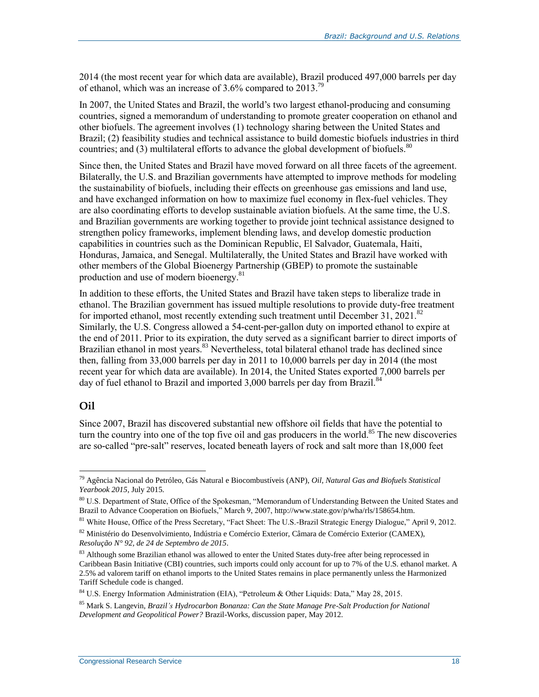2014 (the most recent year for which data are available), Brazil produced 497,000 barrels per day of ethanol, which was an increase of 3.6% compared to 2013.<sup>79</sup>

In 2007, the United States and Brazil, the world's two largest ethanol-producing and consuming countries, signed a memorandum of understanding to promote greater cooperation on ethanol and other biofuels. The agreement involves (1) technology sharing between the United States and Brazil; (2) feasibility studies and technical assistance to build domestic biofuels industries in third countries; and  $(3)$  multilateral efforts to advance the global development of biofuels.<sup>80</sup>

Since then, the United States and Brazil have moved forward on all three facets of the agreement. Bilaterally, the U.S. and Brazilian governments have attempted to improve methods for modeling the sustainability of biofuels, including their effects on greenhouse gas emissions and land use, and have exchanged information on how to maximize fuel economy in flex-fuel vehicles. They are also coordinating efforts to develop sustainable aviation biofuels. At the same time, the U.S. and Brazilian governments are working together to provide joint technical assistance designed to strengthen policy frameworks, implement blending laws, and develop domestic production capabilities in countries such as the Dominican Republic, El Salvador, Guatemala, Haiti, Honduras, Jamaica, and Senegal. Multilaterally, the United States and Brazil have worked with other members of the Global Bioenergy Partnership (GBEP) to promote the sustainable production and use of modern bioenergy.<sup>81</sup>

In addition to these efforts, the United States and Brazil have taken steps to liberalize trade in ethanol. The Brazilian government has issued multiple resolutions to provide duty-free treatment for imported ethanol, most recently extending such treatment until December 31, 2021.<sup>82</sup> Similarly, the U.S. Congress allowed a 54-cent-per-gallon duty on imported ethanol to expire at the end of 2011. Prior to its expiration, the duty served as a significant barrier to direct imports of Brazilian ethanol in most years.<sup>83</sup> Nevertheless, total bilateral ethanol trade has declined since then, falling from 33,000 barrels per day in 2011 to 10,000 barrels per day in 2014 (the most recent year for which data are available). In 2014, the United States exported 7,000 barrels per day of fuel ethanol to Brazil and imported 3,000 barrels per day from Brazil.<sup>84</sup>

#### **Oil**

 $\overline{a}$ 

Since 2007, Brazil has discovered substantial new offshore oil fields that have the potential to turn the country into one of the top five oil and gas producers in the world. <sup>85</sup> The new discoveries are so-called "pre-salt" reserves, located beneath layers of rock and salt more than 18,000 feet

<sup>79</sup> Agência Nacional do Petróleo, Gás Natural e Biocombustíveis (ANP), *Oil, Natural Gas and Biofuels Statistical Yearbook 2015*, July 2015.

<sup>80</sup> U.S. Department of State, Office of the Spokesman, "Memorandum of Understanding Between the United States and Brazil to Advance Cooperation on Biofuels," March 9, 2007, http://www.state.gov/p/wha/rls/158654.htm.

<sup>&</sup>lt;sup>81</sup> White House, Office of the Press Secretary, "Fact Sheet: The U.S.-Brazil Strategic Energy Dialogue," April 9, 2012.

<sup>82</sup> Ministério do Desenvolvimiento, Indústria e Comércio Exterior, Câmara de Comércio Exterior (CAMEX), *Resolução N° 92, de 24 de Septembro de 2015*.

<sup>83</sup> Although some Brazilian ethanol was allowed to enter the United States duty-free after being reprocessed in Caribbean Basin Initiative (CBI) countries, such imports could only account for up to 7% of the U.S. ethanol market. A 2.5% ad valorem tariff on ethanol imports to the United States remains in place permanently unless the Harmonized Tariff Schedule code is changed.

<sup>84</sup> U.S. Energy Information Administration (EIA), "Petroleum & Other Liquids: Data," May 28, 2015.

<sup>85</sup> Mark S. Langevin, *Brazil's Hydrocarbon Bonanza: Can the State Manage Pre-Salt Production for National Development and Geopolitical Power?* Brazil-Works, discussion paper, May 2012.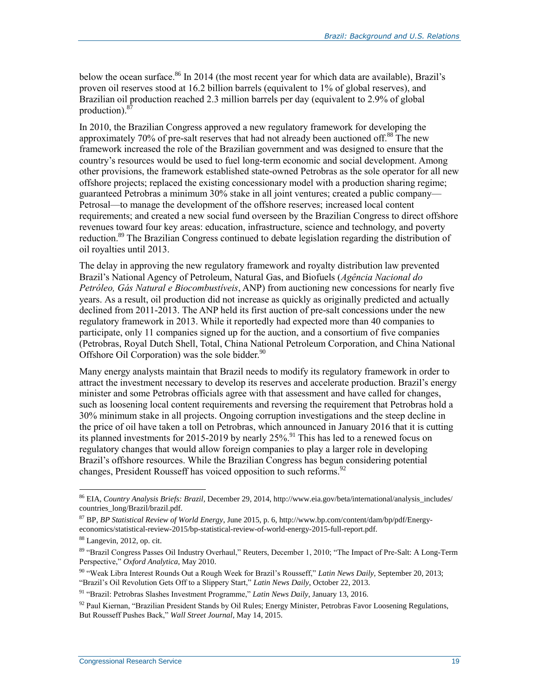below the ocean surface.<sup>86</sup> In 2014 (the most recent year for which data are available), Brazil's proven oil reserves stood at 16.2 billion barrels (equivalent to 1% of global reserves), and Brazilian oil production reached 2.3 million barrels per day (equivalent to 2.9% of global production).<sup>87</sup>

In 2010, the Brazilian Congress approved a new regulatory framework for developing the approximately 70% of pre-salt reserves that had not already been auctioned off.<sup>88</sup> The new framework increased the role of the Brazilian government and was designed to ensure that the country's resources would be used to fuel long-term economic and social development. Among other provisions, the framework established state-owned Petrobras as the sole operator for all new offshore projects; replaced the existing concessionary model with a production sharing regime; guaranteed Petrobras a minimum 30% stake in all joint ventures; created a public company— Petrosal—to manage the development of the offshore reserves; increased local content requirements; and created a new social fund overseen by the Brazilian Congress to direct offshore revenues toward four key areas: education, infrastructure, science and technology, and poverty reduction.<sup>89</sup> The Brazilian Congress continued to debate legislation regarding the distribution of oil royalties until 2013.

The delay in approving the new regulatory framework and royalty distribution law prevented Brazil's National Agency of Petroleum, Natural Gas, and Biofuels (*Agência Nacional do Petróleo, Gás Natural e Biocombustíveis*, ANP) from auctioning new concessions for nearly five years. As a result, oil production did not increase as quickly as originally predicted and actually declined from 2011-2013. The ANP held its first auction of pre-salt concessions under the new regulatory framework in 2013. While it reportedly had expected more than 40 companies to participate, only 11 companies signed up for the auction, and a consortium of five companies (Petrobras, Royal Dutch Shell, Total, China National Petroleum Corporation, and China National Offshore Oil Corporation) was the sole bidder. $90$ 

Many energy analysts maintain that Brazil needs to modify its regulatory framework in order to attract the investment necessary to develop its reserves and accelerate production. Brazil's energy minister and some Petrobras officials agree with that assessment and have called for changes, such as loosening local content requirements and reversing the requirement that Petrobras hold a 30% minimum stake in all projects. Ongoing corruption investigations and the steep decline in the price of oil have taken a toll on Petrobras, which announced in January 2016 that it is cutting its planned investments for 2015-2019 by nearly 25%.<sup>91</sup> This has led to a renewed focus on regulatory changes that would allow foreign companies to play a larger role in developing Brazil's offshore resources. While the Brazilian Congress has begun considering potential changes, President Rousseff has voiced opposition to such reforms.<sup>92</sup>

<sup>86</sup> EIA, *Country Analysis Briefs: Brazil*, December 29, 2014, http://www.eia.gov/beta/international/analysis\_includes/ countries\_long/Brazil/brazil.pdf.

<sup>87</sup> BP, *BP Statistical Review of World Energy*, June 2015, p. 6, http://www.bp.com/content/dam/bp/pdf/Energyeconomics/statistical-review-2015/bp-statistical-review-of-world-energy-2015-full-report.pdf.

<sup>88</sup> Langevin, 2012, op. cit.

<sup>89</sup> "Brazil Congress Passes Oil Industry Overhaul," Reuters, December 1, 2010; "The Impact of Pre-Salt: A Long-Term Perspective," *Oxford Analytica*, May 2010.

<sup>90</sup> "Weak Libra Interest Rounds Out a Rough Week for Brazil's Rousseff," *Latin News Daily*, September 20, 2013; "Brazil's Oil Revolution Gets Off to a Slippery Start," *Latin News Daily*, October 22, 2013.

<sup>91</sup> "Brazil: Petrobras Slashes Investment Programme," *Latin News Daily*, January 13, 2016.

<sup>&</sup>lt;sup>92</sup> Paul Kiernan, "Brazilian President Stands by Oil Rules; Energy Minister, Petrobras Favor Loosening Regulations, But Rousseff Pushes Back," *Wall Street Journal*, May 14, 2015.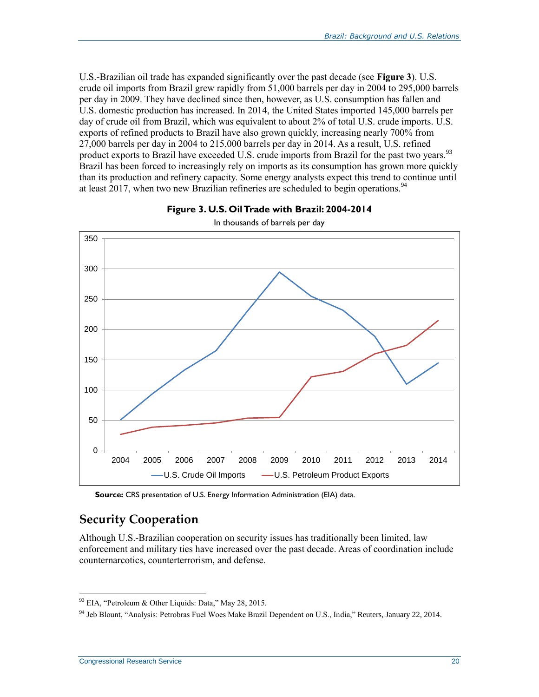U.S.-Brazilian oil trade has expanded significantly over the past decade (see **[Figure 3](#page-22-0)**). U.S. crude oil imports from Brazil grew rapidly from 51,000 barrels per day in 2004 to 295,000 barrels per day in 2009. They have declined since then, however, as U.S. consumption has fallen and U.S. domestic production has increased. In 2014, the United States imported 145,000 barrels per day of crude oil from Brazil, which was equivalent to about 2% of total U.S. crude imports. U.S. exports of refined products to Brazil have also grown quickly, increasing nearly 700% from 27,000 barrels per day in 2004 to 215,000 barrels per day in 2014. As a result, U.S. refined product exports to Brazil have exceeded U.S. crude imports from Brazil for the past two years.<sup>93</sup> Brazil has been forced to increasingly rely on imports as its consumption has grown more quickly than its production and refinery capacity. Some energy analysts expect this trend to continue until at least 2017, when two new Brazilian refineries are scheduled to begin operations.<sup>94</sup>

<span id="page-22-0"></span>

**Figure 3. U.S. Oil Trade with Brazil: 2004-2014**

**Source:** CRS presentation of U.S. Energy Information Administration (EIA) data.

## **Security Cooperation**

Although U.S.-Brazilian cooperation on security issues has traditionally been limited, law enforcement and military ties have increased over the past decade. Areas of coordination include counternarcotics, counterterrorism, and defense.

 $93$  EIA, "Petroleum & Other Liquids: Data," May 28, 2015.

<sup>94</sup> Jeb Blount, "Analysis: Petrobras Fuel Woes Make Brazil Dependent on U.S., India," Reuters, January 22, 2014.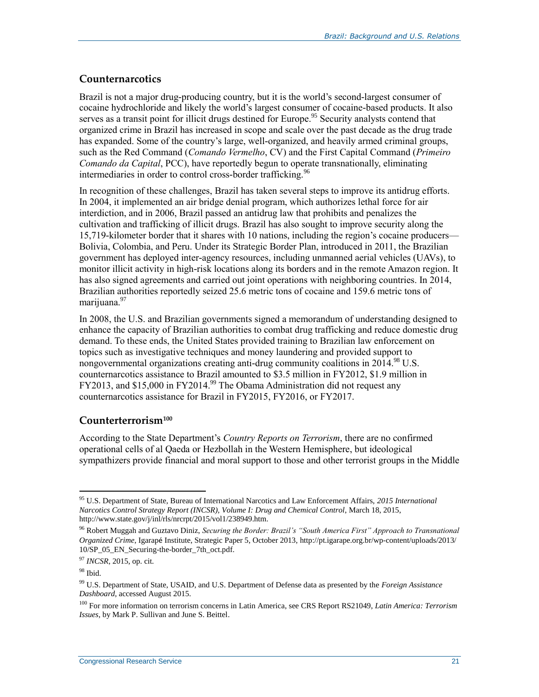#### **Counternarcotics**

Brazil is not a major drug-producing country, but it is the world's second-largest consumer of cocaine hydrochloride and likely the world's largest consumer of cocaine-based products. It also serves as a transit point for illicit drugs destined for Europe.<sup>95</sup> Security analysts contend that organized crime in Brazil has increased in scope and scale over the past decade as the drug trade has expanded. Some of the country's large, well-organized, and heavily armed criminal groups, such as the Red Command (*Comando Vermelho*, CV) and the First Capital Command (*Primeiro Comando da Capital*, PCC), have reportedly begun to operate transnationally, eliminating intermediaries in order to control cross-border trafficking.<sup>96</sup>

In recognition of these challenges, Brazil has taken several steps to improve its antidrug efforts. In 2004, it implemented an air bridge denial program, which authorizes lethal force for air interdiction, and in 2006, Brazil passed an antidrug law that prohibits and penalizes the cultivation and trafficking of illicit drugs. Brazil has also sought to improve security along the 15,719-kilometer border that it shares with 10 nations, including the region's cocaine producers— Bolivia, Colombia, and Peru. Under its Strategic Border Plan, introduced in 2011, the Brazilian government has deployed inter-agency resources, including unmanned aerial vehicles (UAVs), to monitor illicit activity in high-risk locations along its borders and in the remote Amazon region. It has also signed agreements and carried out joint operations with neighboring countries. In 2014, Brazilian authorities reportedly seized 25.6 metric tons of cocaine and 159.6 metric tons of marijuana.<sup>97</sup>

In 2008, the U.S. and Brazilian governments signed a memorandum of understanding designed to enhance the capacity of Brazilian authorities to combat drug trafficking and reduce domestic drug demand. To these ends, the United States provided training to Brazilian law enforcement on topics such as investigative techniques and money laundering and provided support to nongovernmental organizations creating anti-drug community coalitions in  $2014.^{98}$  U.S. counternarcotics assistance to Brazil amounted to \$3.5 million in FY2012, \$1.9 million in FY2013, and \$15,000 in FY2014.<sup>99</sup> The Obama Administration did not request any counternarcotics assistance for Brazil in FY2015, FY2016, or FY2017.

#### **Counterterrorism<sup>100</sup>**

According to the State Department's *Country Reports on Terrorism*, there are no confirmed operational cells of al Qaeda or Hezbollah in the Western Hemisphere, but ideological sympathizers provide financial and moral support to those and other terrorist groups in the Middle

<sup>95</sup> U.S. Department of State, Bureau of International Narcotics and Law Enforcement Affairs, *2015 International Narcotics Control Strategy Report (INCSR), Volume I: Drug and Chemical Control*, March 18, 2015, http://www.state.gov/j/inl/rls/nrcrpt/2015/vol1/238949.htm.

<sup>96</sup> Robert Muggah and Guztavo Diniz, *Securing the Border: Brazil's "South America First" Approach to Transnational Organized Crime*, Igarapé Institute, Strategic Paper 5, October 2013, http://pt.igarape.org.br/wp-content/uploads/2013/ 10/SP\_05\_EN\_Securing-the-border\_7th\_oct.pdf.

<sup>97</sup> *INCSR*, 2015, op. cit.

<sup>98</sup> Ibid.

<sup>99</sup> U.S. Department of State, USAID, and U.S. Department of Defense data as presented by the *Foreign Assistance Dashboard*, accessed August 2015.

<sup>100</sup> For more information on terrorism concerns in Latin America, see CRS Report RS21049, *Latin America: Terrorism Issues*, by Mark P. Sullivan and June S. Beittel.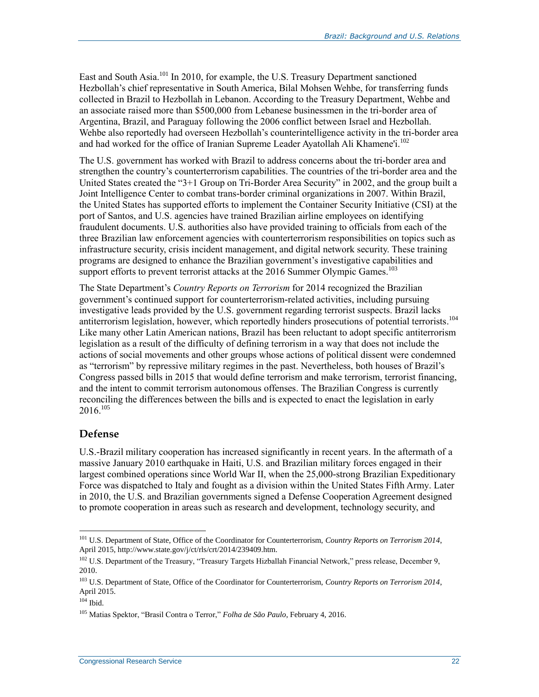East and South Asia.<sup>101</sup> In 2010, for example, the U.S. Treasury Department sanctioned Hezbollah's chief representative in South America, Bilal Mohsen Wehbe, for transferring funds collected in Brazil to Hezbollah in Lebanon. According to the Treasury Department, Wehbe and an associate raised more than \$500,000 from Lebanese businessmen in the tri-border area of Argentina, Brazil, and Paraguay following the 2006 conflict between Israel and Hezbollah. Wehbe also reportedly had overseen Hezbollah's counterintelligence activity in the tri-border area and had worked for the office of Iranian Supreme Leader Ayatollah Ali Khamene'i.<sup>102</sup>

The U.S. government has worked with Brazil to address concerns about the tri-border area and strengthen the country's counterterrorism capabilities. The countries of the tri-border area and the United States created the "3+1 Group on Tri-Border Area Security" in 2002, and the group built a Joint Intelligence Center to combat trans-border criminal organizations in 2007. Within Brazil, the United States has supported efforts to implement the Container Security Initiative (CSI) at the port of Santos, and U.S. agencies have trained Brazilian airline employees on identifying fraudulent documents. U.S. authorities also have provided training to officials from each of the three Brazilian law enforcement agencies with counterterrorism responsibilities on topics such as infrastructure security, crisis incident management, and digital network security. These training programs are designed to enhance the Brazilian government's investigative capabilities and support efforts to prevent terrorist attacks at the 2016 Summer Olympic Games.<sup>103</sup>

The State Department's *Country Reports on Terrorism* for 2014 recognized the Brazilian government's continued support for counterterrorism-related activities, including pursuing investigative leads provided by the U.S. government regarding terrorist suspects. Brazil lacks antiterrorism legislation, however, which reportedly hinders prosecutions of potential terrorists. 104 Like many other Latin American nations, Brazil has been reluctant to adopt specific antiterrorism legislation as a result of the difficulty of defining terrorism in a way that does not include the actions of social movements and other groups whose actions of political dissent were condemned as "terrorism" by repressive military regimes in the past. Nevertheless, both houses of Brazil's Congress passed bills in 2015 that would define terrorism and make terrorism, terrorist financing, and the intent to commit terrorism autonomous offenses. The Brazilian Congress is currently reconciling the differences between the bills and is expected to enact the legislation in early 2016. 105

#### <span id="page-24-0"></span>**Defense**

U.S.-Brazil military cooperation has increased significantly in recent years. In the aftermath of a massive January 2010 earthquake in Haiti, U.S. and Brazilian military forces engaged in their largest combined operations since World War II, when the 25,000-strong Brazilian Expeditionary Force was dispatched to Italy and fought as a division within the United States Fifth Army. Later in 2010, the U.S. and Brazilian governments signed a Defense Cooperation Agreement designed to promote cooperation in areas such as research and development, technology security, and

<sup>101</sup> U.S. Department of State, Office of the Coordinator for Counterterrorism, *Country Reports on Terrorism 2014*, April 2015, http://www.state.gov/j/ct/rls/crt/2014/239409.htm.

<sup>&</sup>lt;sup>102</sup> U.S. Department of the Treasury, "Treasury Targets Hizballah Financial Network," press release, December 9, 2010.

<sup>103</sup> U.S. Department of State, Office of the Coordinator for Counterterrorism, *Country Reports on Terrorism 2014*, April 2015.

 $104$  Ibid.

<sup>105</sup> Matias Spektor, "Brasil Contra o Terror," *Folha de São Paulo*, February 4, 2016.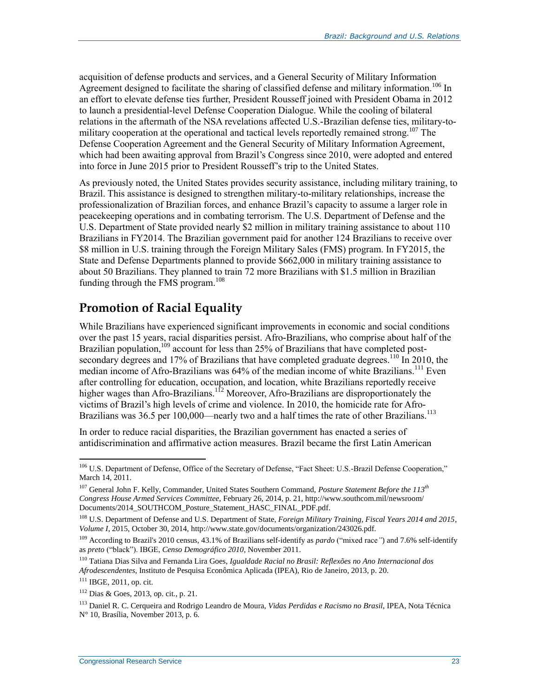acquisition of defense products and services, and a General Security of Military Information Agreement designed to facilitate the sharing of classified defense and military information.<sup>106</sup> In an effort to elevate defense ties further, President Rousseff joined with President Obama in 2012 to launch a presidential-level Defense Cooperation Dialogue. While the cooling of bilateral relations in the aftermath of the NSA revelations affected U.S.-Brazilian defense ties, military-tomilitary cooperation at the operational and tactical levels reportedly remained strong.<sup>107</sup> The Defense Cooperation Agreement and the General Security of Military Information Agreement, which had been awaiting approval from Brazil's Congress since 2010, were adopted and entered into force in June 2015 prior to President Rousseff's trip to the United States.

As previously noted, the United States provides security assistance, including military training, to Brazil. This assistance is designed to strengthen military-to-military relationships, increase the professionalization of Brazilian forces, and enhance Brazil's capacity to assume a larger role in peacekeeping operations and in combating terrorism. The U.S. Department of Defense and the U.S. Department of State provided nearly \$2 million in military training assistance to about 110 Brazilians in FY2014. The Brazilian government paid for another 124 Brazilians to receive over \$8 million in U.S. training through the Foreign Military Sales (FMS) program. In FY2015, the State and Defense Departments planned to provide \$662,000 in military training assistance to about 50 Brazilians. They planned to train 72 more Brazilians with \$1.5 million in Brazilian funding through the FMS program. 108

## **Promotion of Racial Equality**

While Brazilians have experienced significant improvements in economic and social conditions over the past 15 years, racial disparities persist. Afro-Brazilians, who comprise about half of the Brazilian population, $109$  account for less than 25% of Brazilians that have completed postsecondary degrees and 17% of Brazilians that have completed graduate degrees.<sup>110</sup> In 2010, the median income of Afro-Brazilians was 64% of the median income of white Brazilians.<sup>111</sup> Even after controlling for education, occupation, and location, white Brazilians reportedly receive higher wages than Afro-Brazilians.<sup>112</sup> Moreover, Afro-Brazilians are disproportionately the victims of Brazil's high levels of crime and violence. In 2010, the homicide rate for Afro-Brazilians was 36.5 per 100,000—nearly two and a half times the rate of other Brazilians.<sup>113</sup>

In order to reduce racial disparities, the Brazilian government has enacted a series of antidiscrimination and affirmative action measures. Brazil became the first Latin American

<sup>&</sup>lt;sup>106</sup> U.S. Department of Defense, Office of the Secretary of Defense, "Fact Sheet: U.S.-Brazil Defense Cooperation," March 14, 2011.

<sup>107</sup> General John F. Kelly, Commander, United States Southern Command, *Posture Statement Before the 113th Congress House Armed Services Committee*, February 26, 2014, p. 21, http://www.southcom.mil/newsroom/ Documents/2014\_SOUTHCOM\_Posture\_Statement\_HASC\_FINAL\_PDF.pdf.

<sup>108</sup> U.S. Department of Defense and U.S. Department of State, *Foreign Military Training, Fiscal Years 2014 and 2015*, *Volume I*, 2015, October 30, 2014, http://www.state.gov/documents/organization/243026.pdf.

<sup>109</sup> According to Brazil's 2010 census, 43.1% of Brazilians self-identify as *pardo* ("mixed race*"*) and 7.6% self-identify as *preto* ("black"). IBGE, *Censo Demográfico 2010*, November 2011.

<sup>110</sup> Tatiana Dias Silva and Fernanda Lira Goes, *Igualdade Racial no Brasil: Reflexões no Ano Internacional dos Afrodescendentes*, Instituto de Pesquisa Econômica Aplicada (IPEA), Rio de Janeiro, 2013, p. 20.

<sup>111</sup> IBGE, 2011, op. cit.

<sup>112</sup> Dias & Goes, 2013, op. cit., p. 21.

<sup>113</sup> Daniel R. C. Cerqueira and Rodrigo Leandro de Moura, *Vidas Perdidas e Racismo no Brasil*, IPEA, Nota Técnica N° 10, Brasília, November 2013, p. 6.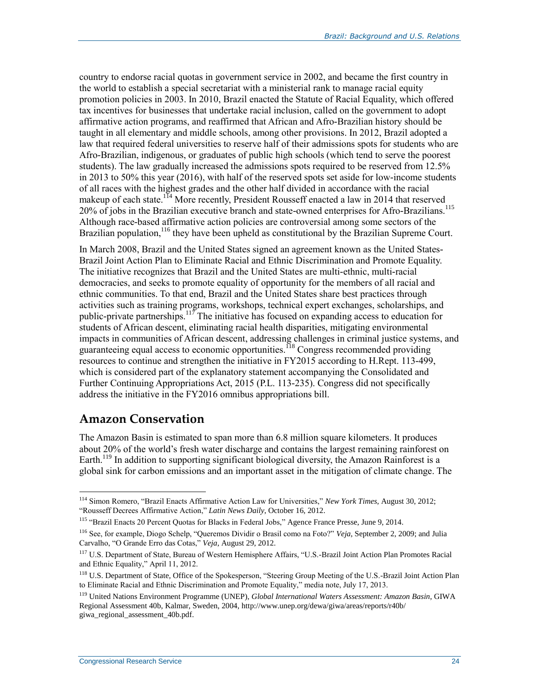country to endorse racial quotas in government service in 2002, and became the first country in the world to establish a special secretariat with a ministerial rank to manage racial equity promotion policies in 2003. In 2010, Brazil enacted the Statute of Racial Equality, which offered tax incentives for businesses that undertake racial inclusion, called on the government to adopt affirmative action programs, and reaffirmed that African and Afro-Brazilian history should be taught in all elementary and middle schools, among other provisions. In 2012, Brazil adopted a law that required federal universities to reserve half of their admissions spots for students who are Afro-Brazilian, indigenous, or graduates of public high schools (which tend to serve the poorest students). The law gradually increased the admissions spots required to be reserved from 12.5% in 2013 to 50% this year (2016), with half of the reserved spots set aside for low-income students of all races with the highest grades and the other half divided in accordance with the racial makeup of each state.<sup>114</sup> More recently, President Rousseff enacted a law in 2014 that reserved 20% of jobs in the Brazilian executive branch and state-owned enterprises for Afro-Brazilians.<sup>115</sup> Although race-based affirmative action policies are controversial among some sectors of the Brazilian population,<sup>116</sup> they have been upheld as constitutional by the Brazilian Supreme Court.

In March 2008, Brazil and the United States signed an agreement known as the United States-Brazil Joint Action Plan to Eliminate Racial and Ethnic Discrimination and Promote Equality. The initiative recognizes that Brazil and the United States are multi-ethnic, multi-racial democracies, and seeks to promote equality of opportunity for the members of all racial and ethnic communities. To that end, Brazil and the United States share best practices through activities such as training programs, workshops, technical expert exchanges, scholarships, and public-private partnerships.<sup>117</sup> The initiative has focused on expanding access to education for students of African descent, eliminating racial health disparities, mitigating environmental impacts in communities of African descent, addressing challenges in criminal justice systems, and guaranteeing equal access to economic opportunities.<sup>118</sup> Congress recommended providing resources to continue and strengthen the initiative in FY2015 according to H.Rept. 113-499, which is considered part of the explanatory statement accompanying the Consolidated and Further Continuing Appropriations Act, 2015 (P.L. 113-235). Congress did not specifically address the initiative in the FY2016 omnibus appropriations bill.

## <span id="page-26-0"></span>**Amazon Conservation**

 $\overline{a}$ 

The Amazon Basin is estimated to span more than 6.8 million square kilometers. It produces about 20% of the world's fresh water discharge and contains the largest remaining rainforest on Earth.<sup>119</sup> In addition to supporting significant biological diversity, the Amazon Rainforest is a global sink for carbon emissions and an important asset in the mitigation of climate change. The

<sup>114</sup> Simon Romero, "Brazil Enacts Affirmative Action Law for Universities," *New York Times*, August 30, 2012; "Rousseff Decrees Affirmative Action," *Latin News Daily*, October 16, 2012.

<sup>115</sup> "Brazil Enacts 20 Percent Quotas for Blacks in Federal Jobs," Agence France Presse, June 9, 2014.

<sup>116</sup> See, for example, Diogo Schelp, "Queremos Dividir o Brasil como na Foto?" *Veja*, September 2, 2009; and Julia Carvalho, "O Grande Erro das Cotas," *Veja*, August 29, 2012.

<sup>117</sup> U.S. Department of State, Bureau of Western Hemisphere Affairs, "U.S.-Brazil Joint Action Plan Promotes Racial and Ethnic Equality," April 11, 2012.

<sup>&</sup>lt;sup>118</sup> U.S. Department of State, Office of the Spokesperson, "Steering Group Meeting of the U.S.-Brazil Joint Action Plan to Eliminate Racial and Ethnic Discrimination and Promote Equality," media note, July 17, 2013.

<sup>119</sup> United Nations Environment Programme (UNEP), *Global International Waters Assessment: Amazon Basin*, GIWA Regional Assessment 40b, Kalmar, Sweden, 2004, http://www.unep.org/dewa/giwa/areas/reports/r40b/ giwa\_regional\_assessment\_40b.pdf.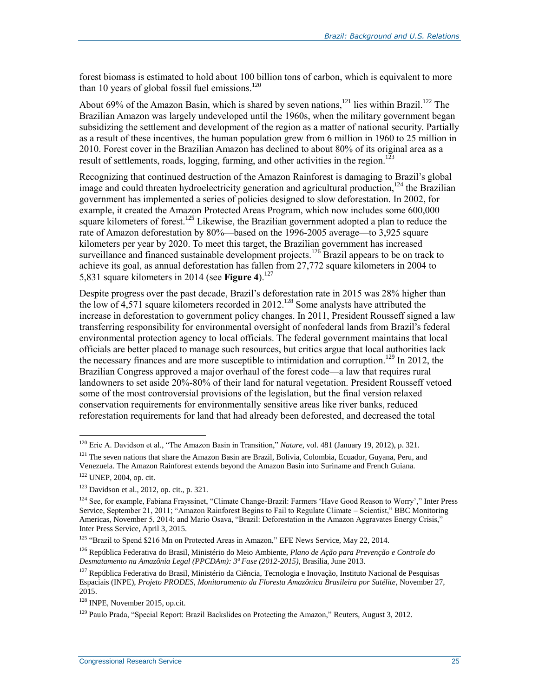forest biomass is estimated to hold about 100 billion tons of carbon, which is equivalent to more than 10 years of global fossil fuel emissions. $120$ 

About 69% of the Amazon Basin, which is shared by seven nations,<sup>121</sup> lies within Brazil.<sup>122</sup> The Brazilian Amazon was largely undeveloped until the 1960s, when the military government began subsidizing the settlement and development of the region as a matter of national security. Partially as a result of these incentives, the human population grew from 6 million in 1960 to 25 million in 2010. Forest cover in the Brazilian Amazon has declined to about 80% of its original area as a result of settlements, roads, logging, farming, and other activities in the region.<sup>123</sup>

Recognizing that continued destruction of the Amazon Rainforest is damaging to Brazil's global image and could threaten hydroelectricity generation and agricultural production,  $^{124}$  the Brazilian government has implemented a series of policies designed to slow deforestation. In 2002, for example, it created the Amazon Protected Areas Program, which now includes some 600,000 square kilometers of forest.<sup>125</sup> Likewise, the Brazilian government adopted a plan to reduce the rate of Amazon deforestation by 80%—based on the 1996-2005 average—to 3,925 square kilometers per year by 2020. To meet this target, the Brazilian government has increased surveillance and financed sustainable development projects.<sup>126</sup> Brazil appears to be on track to achieve its goal, as annual deforestation has fallen from 27,772 square kilometers in 2004 to 5,831 square kilometers in 2014 (see **[Figure 4](#page-28-0)**). 127

Despite progress over the past decade, Brazil's deforestation rate in 2015 was 28% higher than the low of  $4,571$  square kilometers recorded in 2012.<sup>128</sup> Some analysts have attributed the increase in deforestation to government policy changes. In 2011, President Rousseff signed a law transferring responsibility for environmental oversight of nonfederal lands from Brazil's federal environmental protection agency to local officials. The federal government maintains that local officials are better placed to manage such resources, but critics argue that local authorities lack the necessary finances and are more susceptible to intimidation and corruption.<sup>129</sup> In 2012, the Brazilian Congress approved a major overhaul of the forest code—a law that requires rural landowners to set aside 20%-80% of their land for natural vegetation. President Rousseff vetoed some of the most controversial provisions of the legislation, but the final version relaxed conservation requirements for environmentally sensitive areas like river banks, reduced reforestation requirements for land that had already been deforested, and decreased the total

<sup>120</sup> Eric A. Davidson et al., "The Amazon Basin in Transition," *Nature*, vol. 481 (January 19, 2012), p. 321.

 $121$  The seven nations that share the Amazon Basin are Brazil, Bolivia, Colombia, Ecuador, Guyana, Peru, and Venezuela. The Amazon Rainforest extends beyond the Amazon Basin into Suriname and French Guiana.

<sup>122</sup> UNEP, 2004, op. cit.

 $123$  Davidson et al., 2012, op. cit., p. 321.

<sup>&</sup>lt;sup>124</sup> See, for example, Fabiana Frayssinet, "Climate Change-Brazil: Farmers 'Have Good Reason to Worry'," Inter Press Service, September 21, 2011; "Amazon Rainforest Begins to Fail to Regulate Climate – Scientist," BBC Monitoring Americas, November 5, 2014; and Mario Osava, "Brazil: Deforestation in the Amazon Aggravates Energy Crisis," Inter Press Service, April 3, 2015.

<sup>&</sup>lt;sup>125</sup> "Brazil to Spend \$216 Mn on Protected Areas in Amazon," EFE News Service, May 22, 2014.

<sup>126</sup> República Federativa do Brasil, Ministério do Meio Ambiente, *Plano de Ação para Prevenção e Controle do Desmatamento na Amazônia Legal (PPCDAm): 3ª Fase (2012-2015)*, Brasília, June 2013.

<sup>&</sup>lt;sup>127</sup> República Federativa do Brasil, Ministério da Ciência, Tecnologia e Inovação, Instituto Nacional de Pesquisas Espaciais (INPE), *Projeto PRODES, Monitoramento da Floresta Amazônica Brasileira por Satélite*, November 27, 2015.

<sup>128</sup> INPE, November 2015, op.cit.

<sup>&</sup>lt;sup>129</sup> Paulo Prada, "Special Report: Brazil Backslides on Protecting the Amazon," Reuters, August 3, 2012.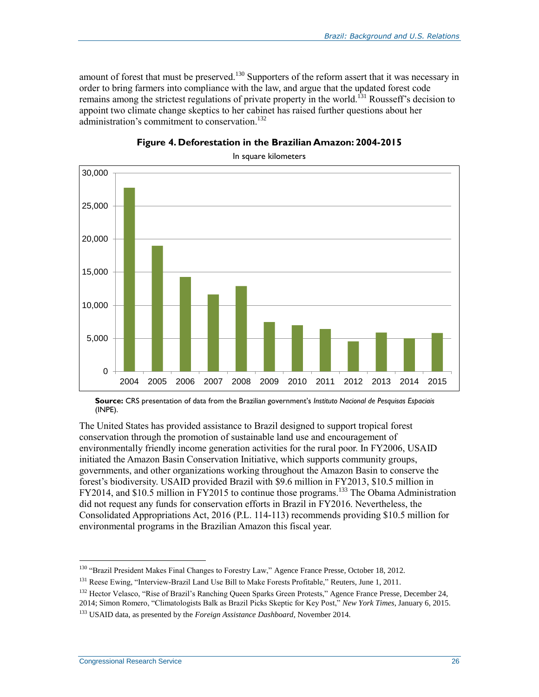amount of forest that must be preserved.<sup>130</sup> Supporters of the reform assert that it was necessary in order to bring farmers into compliance with the law, and argue that the updated forest code remains among the strictest regulations of private property in the world.<sup>131</sup> Rousseff's decision to appoint two climate change skeptics to her cabinet has raised further questions about her administration's commitment to conservation. 132

<span id="page-28-0"></span>

**Figure 4. Deforestation in the Brazilian Amazon: 2004-2015**

**Source:** CRS presentation of data from the Brazilian government's *Instituto Nacional de Pesquisas Espaciais*  (INPE).

The United States has provided assistance to Brazil designed to support tropical forest conservation through the promotion of sustainable land use and encouragement of environmentally friendly income generation activities for the rural poor. In FY2006, USAID initiated the Amazon Basin Conservation Initiative, which supports community groups, governments, and other organizations working throughout the Amazon Basin to conserve the forest's biodiversity. USAID provided Brazil with \$9.6 million in FY2013, \$10.5 million in FY2014, and \$10.5 million in FY2015 to continue those programs.<sup>133</sup> The Obama Administration did not request any funds for conservation efforts in Brazil in FY2016. Nevertheless, the Consolidated Appropriations Act, 2016 (P.L. 114-113) recommends providing \$10.5 million for environmental programs in the Brazilian Amazon this fiscal year.

<sup>&</sup>lt;sup>130</sup> "Brazil President Makes Final Changes to Forestry Law," Agence France Presse, October 18, 2012.

<sup>&</sup>lt;sup>131</sup> Reese Ewing, "Interview-Brazil Land Use Bill to Make Forests Profitable," Reuters, June 1, 2011.

<sup>&</sup>lt;sup>132</sup> Hector Velasco, "Rise of Brazil's Ranching Queen Sparks Green Protests," Agence France Presse, December 24, 2014; Simon Romero, "Climatologists Balk as Brazil Picks Skeptic for Key Post," *New York Times*, January 6, 2015. <sup>133</sup> USAID data, as presented by the *Foreign Assistance Dashboard*, November 2014.